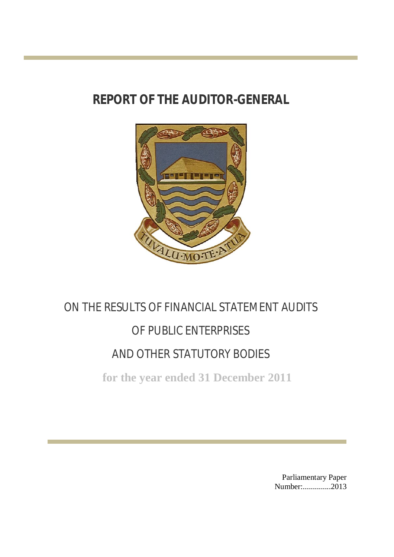# **REPORT OF THE AUDITOR-GENERAL**



# ON THE RESULTS OF FINANCIAL STATEMENT AUDITS OF PUBLIC ENTERPRISES AND OTHER STATUTORY BODIES

**for the year ended 31 December 2011**

Parliamentary Paper Number:..............2013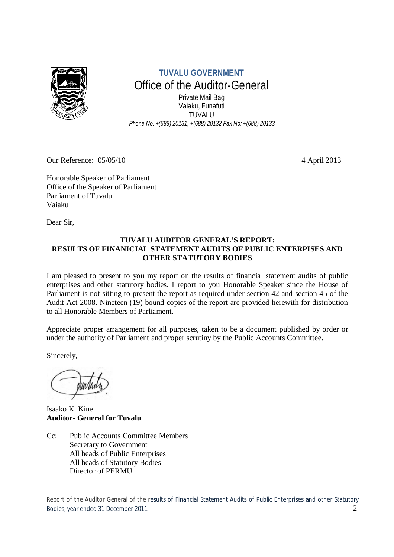

**TUVALU GOVERNMENT** Office of the Auditor-General Private Mail Bag Vaiaku, Funafuti TUVALU *Phone No: +(688) 20131, +(688) 20132 Fax No: +(688) 20133*

Our Reference: 05/05/10 4 April 2013

Honorable Speaker of Parliament Office of the Speaker of Parliament Parliament of Tuvalu Vaiaku

Dear Sir,

# **TUVALU AUDITOR GENERAL'S REPORT: RESULTS OF FINANICIAL STATEMENT AUDITS OF PUBLIC ENTERPISES AND OTHER STATUTORY BODIES**

I am pleased to present to you my report on the results of financial statement audits of public enterprises and other statutory bodies. I report to you Honorable Speaker since the House of Parliament is not sitting to present the report as required under section 42 and section 45 of the Audit Act 2008. Nineteen (19) bound copies of the report are provided herewith for distribution to all Honorable Members of Parliament.

Appreciate proper arrangement for all purposes, taken to be a document published by order or under the authority of Parliament and proper scrutiny by the Public Accounts Committee.

Sincerely,

Isaako K. Kine **Auditor- General for Tuvalu**

Cc: Public Accounts Committee Members Secretary to Government All heads of Public Enterprises All heads of Statutory Bodies Director of PERMU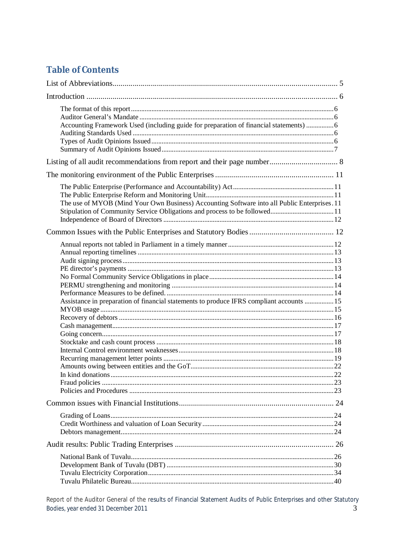# **Table of Contents**

| Accounting Framework Used (including guide for preparation of financial statements) 6        |     |
|----------------------------------------------------------------------------------------------|-----|
|                                                                                              |     |
|                                                                                              |     |
| The use of MYOB (Mind Your Own Business) Accounting Software into all Public Enterprises. 11 |     |
|                                                                                              |     |
| Assistance in preparation of financial statements to produce IFRS compliant accounts  15     | .22 |
|                                                                                              |     |
|                                                                                              |     |
|                                                                                              |     |
|                                                                                              |     |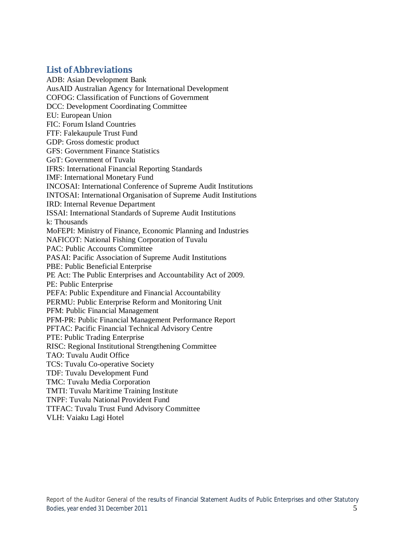# **List of Abbreviations**

ADB: Asian Development Bank AusAID Australian Agency for International Development COFOG: Classification of Functions of Government DCC: Development Coordinating Committee EU: European Union FIC: Forum Island Countries FTF: Falekaupule Trust Fund GDP: Gross domestic product GFS: Government Finance Statistics GoT: Government of Tuvalu IFRS: International Financial Reporting Standards IMF: International Monetary Fund INCOSAI: International Conference of Supreme Audit Institutions INTOSAI: International Organisation of Supreme Audit Institutions IRD: Internal Revenue Department ISSAI: International Standards of Supreme Audit Institutions k: Thousands MoFEPI: Ministry of Finance, Economic Planning and Industries NAFICOT: National Fishing Corporation of Tuvalu PAC: Public Accounts Committee PASAI: Pacific Association of Supreme Audit Institutions PBE: Public Beneficial Enterprise PE Act: The Public Enterprises and Accountability Act of 2009. PE: Public Enterprise PEFA: Public Expenditure and Financial Accountability PERMU: Public Enterprise Reform and Monitoring Unit PFM: Public Financial Management PFM-PR: Public Financial Management Performance Report PFTAC: Pacific Financial Technical Advisory Centre PTE: Public Trading Enterprise RISC: Regional Institutional Strengthening Committee TAO: Tuvalu Audit Office TCS: Tuvalu Co-operative Society TDF: Tuvalu Development Fund TMC: Tuvalu Media Corporation TMTI: Tuvalu Maritime Training Institute TNPF: Tuvalu National Provident Fund TTFAC: Tuvalu Trust Fund Advisory Committee VLH: Vaiaku Lagi Hotel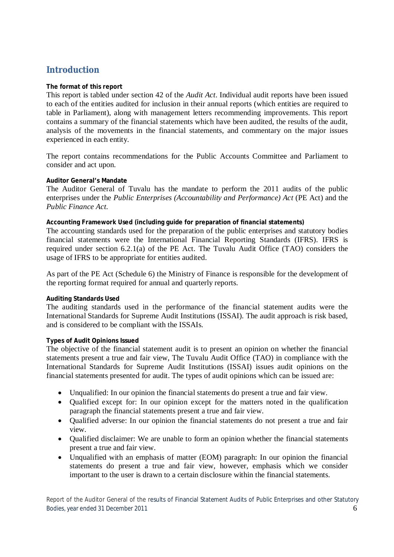# **Introduction**

# **The format of this report**

This report is tabled under section 42 of the *Audit Act*. Individual audit reports have been issued to each of the entities audited for inclusion in their annual reports (which entities are required to table in Parliament), along with management letters recommending improvements. This report contains a summary of the financial statements which have been audited, the results of the audit, analysis of the movements in the financial statements, and commentary on the major issues experienced in each entity.

The report contains recommendations for the Public Accounts Committee and Parliament to consider and act upon.

# **Auditor General's Mandate**

The Auditor General of Tuvalu has the mandate to perform the 2011 audits of the public enterprises under the *Public Enterprises (Accountability and Performance) Act* (PE Act) and the *Public Finance Act.*

# **Accounting Framework Used (including guide for preparation of financial statements)**

The accounting standards used for the preparation of the public enterprises and statutory bodies financial statements were the International Financial Reporting Standards (IFRS). IFRS is required under section 6.2.1(a) of the PE Act. The Tuvalu Audit Office (TAO) considers the usage of IFRS to be appropriate for entities audited.

As part of the PE Act (Schedule 6) the Ministry of Finance is responsible for the development of the reporting format required for annual and quarterly reports.

#### **Auditing Standards Used**

The auditing standards used in the performance of the financial statement audits were the International Standards for Supreme Audit Institutions (ISSAI). The audit approach is risk based, and is considered to be compliant with the ISSAIs.

#### **Types of Audit Opinions Issued**

The objective of the financial statement audit is to present an opinion on whether the financial statements present a true and fair view, The Tuvalu Audit Office (TAO) in compliance with the International Standards for Supreme Audit Institutions (ISSAI) issues audit opinions on the financial statements presented for audit. The types of audit opinions which can be issued are:

- Unqualified: In our opinion the financial statements do present a true and fair view.
- Qualified except for: In our opinion except for the matters noted in the qualification paragraph the financial statements present a true and fair view.
- Oualified adverse: In our opinion the financial statements do not present a true and fair view.
- Oualified disclaimer: We are unable to form an opinion whether the financial statements present a true and fair view.
- Unqualified with an emphasis of matter (EOM) paragraph: In our opinion the financial statements do present a true and fair view, however, emphasis which we consider important to the user is drawn to a certain disclosure within the financial statements.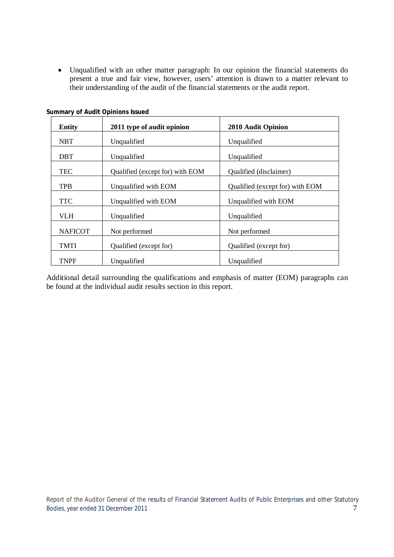Unqualified with an other matter paragraph: In our opinion the financial statements do present a true and fair view, however, users' attention is drawn to a matter relevant to their understanding of the audit of the financial statements or the audit report.

| <b>Entity</b>  | 2011 type of audit opinion      | 2010 Audit Opinion              |
|----------------|---------------------------------|---------------------------------|
| <b>NBT</b>     | Unqualified                     | Unqualified                     |
| <b>DBT</b>     | Unqualified                     | Unqualified                     |
| <b>TEC</b>     | Qualified (except for) with EOM | Qualified (disclaimer)          |
| TPB            | Unqualified with EOM            | Qualified (except for) with EOM |
| <b>TTC</b>     | Unqualified with EOM            | Unqualified with EOM            |
| <b>VLH</b>     | Unqualified                     | Unqualified                     |
| <b>NAFICOT</b> | Not performed                   | Not performed                   |
| <b>TMTI</b>    | Qualified (except for)          | Qualified (except for)          |
| <b>TNPF</b>    | Unqualified                     | Unqualified                     |

**Summary of Audit Opinions Issued**

Additional detail surrounding the qualifications and emphasis of matter (EOM) paragraphs can be found at the individual audit results section in this report.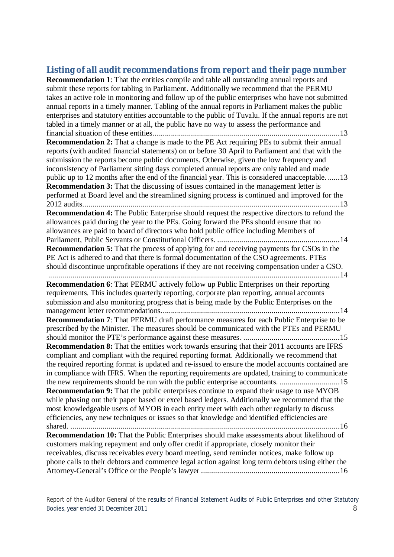# **Listing of all audit recommendations from report and their page number**

**Recommendation 1**: That the entities compile and table all outstanding annual reports and submit these reports for tabling in Parliament. Additionally we recommend that the PERMU takes an active role in monitoring and follow up of the public enterprises who have not submitted annual reports in a timely manner. Tabling of the annual reports in Parliament makes the public enterprises and statutory entities accountable to the public of Tuvalu. If the annual reports are not tabled in a timely manner or at all, the public have no way to assess the performance and financial situation of these entities.............................................................................................13 **Recommendation 2:** That a change is made to the PE Act requiring PEs to submit their annual reports (with audited financial statements) on or before 30 April to Parliament and that with the submission the reports become public documents. Otherwise, given the low frequency and inconsistency of Parliament sitting days completed annual reports are only tabled and made public up to 12 months after the end of the financial year. This is considered unacceptable. ......13 **Recommendation 3:** That the discussing of issues contained in the management letter is performed at Board level and the streamlined signing process is continued and improved for the 2012 audits................................................................................................................................13 **Recommendation 4:** The Public Enterprise should request the respective directors to refund the allowances paid during the year to the PEs. Going forward the PEs should ensure that no allowances are paid to board of directors who hold public office including Members of Parliament, Public Servants or Constitutional Officers. .............................................................14 **Recommendation 5:** That the process of applying for and receiving payments for CSOs in the PE Act is adhered to and that there is formal documentation of the CSO agreements. PTEs should discontinue unprofitable operations if they are not receiving compensation under a CSO. .................................................................................................................................................14 **Recommendation 6**: That PERMU actively follow up Public Enterprises on their reporting requirements. This includes quarterly reporting, corporate plan reporting, annual accounts submission and also monitoring progress that is being made by the Public Enterprises on the management letter recommendations.........................................................................................14 **Recommendation 7**: That PERMU draft performance measures for each Public Enterprise to be prescribed by the Minister. The measures should be communicated with the PTEs and PERMU should monitor the PTE's performance against these measures. ................................................15 **Recommendation 8:** That the entities work towards ensuring that their 2011 accounts are IFRS compliant and compliant with the required reporting format. Additionally we recommend that the required reporting format is updated and re-issued to ensure the model accounts contained are in compliance with IFRS. When the reporting requirements are updated, training to communicate the new requirements should be run with the public enterprise accountants. ..............................15 **Recommendation 9:** That the public enterprises continue to expand their usage to use MYOB while phasing out their paper based or excel based ledgers. Additionally we recommend that the most knowledgeable users of MYOB in each entity meet with each other regularly to discuss efficiencies, any new techniques or issues so that knowledge and identified efficiencies are shared. ......................................................................................................................................16 **Recommendation 10:** That the Public Enterprises should make assessments about likelihood of customers making repayment and only offer credit if appropriate, closely monitor their receivables, discuss receivables every board meeting, send reminder notices, make follow up phone calls to their debtors and commence legal action against long term debtors using either the Attorney-General's Office or the People's lawyer .....................................................................16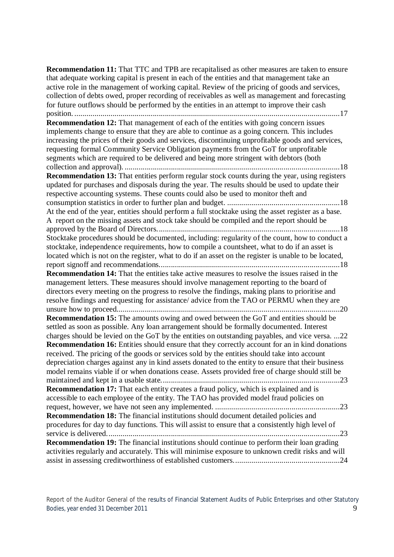**Recommendation 11:** That TTC and TPB are recapitalised as other measures are taken to ensure that adequate working capital is present in each of the entities and that management take an active role in the management of working capital. Review of the pricing of goods and services, collection of debts owed, proper recording of receivables as well as management and forecasting for future outflows should be performed by the entities in an attempt to improve their cash position. ....................................................................................................................................17 **Recommendation 12:** That management of each of the entities with going concern issues implements change to ensure that they are able to continue as a going concern. This includes increasing the prices of their goods and services, discontinuing unprofitable goods and services, requesting formal Community Service Obligation payments from the GoT for unprofitable segments which are required to be delivered and being more stringent with debtors (both collection and approval). ...........................................................................................................18 **Recommendation 13:** That entities perform regular stock counts during the year, using registers updated for purchases and disposals during the year. The results should be used to update their respective accounting systems. These counts could also be used to monitor theft and consumption statistics in order to further plan and budget. ........................................................18 At the end of the year, entities should perform a full stocktake using the asset register as a base. A report on the missing assets and stock take should be compiled and the report should be approved by the Board of Directors...........................................................................................18 Stocktake procedures should be documented, including: regularity of the count, how to conduct a stocktake, independence requirements, how to compile a countsheet, what to do if an asset is located which is not on the register, what to do if an asset on the register is unable to be located, report signoff and recommendations..........................................................................................18 **Recommendation 14:** That the entities take active measures to resolve the issues raised in the management letters. These measures should involve management reporting to the board of directors every meeting on the progress to resolve the findings, making plans to prioritise and resolve findings and requesting for assistance/ advice from the TAO or PERMU when they are unsure how to proceed...............................................................................................................20 **Recommendation 15:** The amounts owing and owed between the GoT and entities should be settled as soon as possible. Any loan arrangement should be formally documented. Interest charges should be levied on the GoT by the entities on outstanding payables, and vice versa. ...22 **Recommendation 16:** Entities should ensure that they correctly account for an in kind donations received. The pricing of the goods or services sold by the entities should take into account depreciation charges against any in kind assets donated to the entity to ensure that their business model remains viable if or when donations cease. Assets provided free of charge should still be maintained and kept in a usable state.........................................................................................23 **Recommendation 17:** That each entity creates a fraud policy, which is explained and is accessible to each employee of the entity. The TAO has provided model fraud policies on request, however, we have not seen any implemented. ..............................................................23 **Recommendation 18:** The financial institutions should document detailed policies and procedures for day to day functions. This will assist to ensure that a consistently high level of service is delivered....................................................................................................................23 **Recommendation 19:** The financial institutions should continue to perform their loan grading activities regularly and accurately. This will minimise exposure to unknown credit risks and will assist in assessing creditworthiness of established customers.....................................................24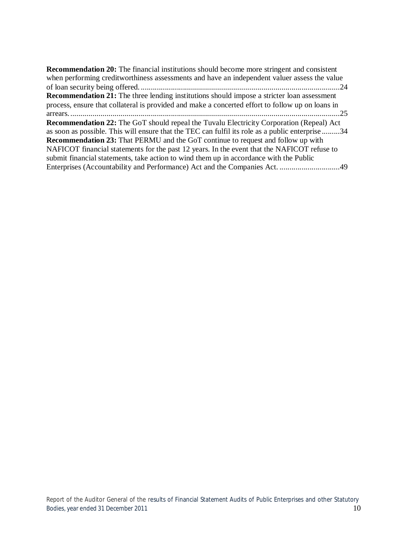| <b>Recommendation 20:</b> The financial institutions should become more stringent and consistent  |
|---------------------------------------------------------------------------------------------------|
| when performing credit worthiness assessments and have an independent valuer assess the value     |
|                                                                                                   |
| <b>Recommendation 21:</b> The three lending institutions should impose a stricter loan assessment |
| process, ensure that collateral is provided and make a concerted effort to follow up on loans in  |
|                                                                                                   |
| <b>Recommendation 22:</b> The GoT should repeal the Tuvalu Electricity Corporation (Repeal) Act   |
| as soon as possible. This will ensure that the TEC can fulfil its role as a public enterprise 34  |
| Recommendation 23: That PERMU and the GoT continue to request and follow up with                  |
| NAFICOT financial statements for the past 12 years. In the event that the NAFICOT refuse to       |
| submit financial statements, take action to wind them up in accordance with the Public            |
|                                                                                                   |
|                                                                                                   |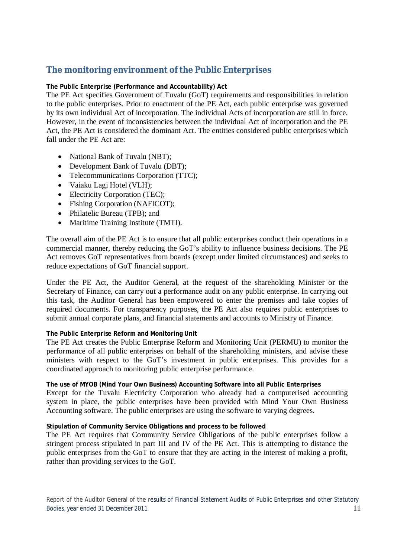# **The monitoring environment of the Public Enterprises**

# **The Public Enterprise (Performance and Accountability) Act**

The PE Act specifies Government of Tuvalu (GoT) requirements and responsibilities in relation to the public enterprises. Prior to enactment of the PE Act, each public enterprise was governed by its own individual Act of incorporation. The individual Acts of incorporation are still in force. However, in the event of inconsistencies between the individual Act of incorporation and the PE Act, the PE Act is considered the dominant Act. The entities considered public enterprises which fall under the PE Act are:

- National Bank of Tuvalu (NBT);
- Development Bank of Tuvalu (DBT);
- Telecommunications Corporation (TTC);
- Vaiaku Lagi Hotel (VLH);
- Electricity Corporation (TEC);
- Fishing Corporation (NAFICOT);
- Philatelic Bureau (TPB); and
- Maritime Training Institute (TMTI).

The overall aim of the PE Act is to ensure that all public enterprises conduct their operations in a commercial manner, thereby reducing the GoT's ability to influence business decisions. The PE Act removes GoT representatives from boards (except under limited circumstances) and seeks to reduce expectations of GoT financial support.

Under the PE Act, the Auditor General, at the request of the shareholding Minister or the Secretary of Finance, can carry out a performance audit on any public enterprise. In carrying out this task, the Auditor General has been empowered to enter the premises and take copies of required documents. For transparency purposes, the PE Act also requires public enterprises to submit annual corporate plans, and financial statements and accounts to Ministry of Finance.

#### **The Public Enterprise Reform and Monitoring Unit**

The PE Act creates the Public Enterprise Reform and Monitoring Unit (PERMU) to monitor the performance of all public enterprises on behalf of the shareholding ministers, and advise these ministers with respect to the GoT's investment in public enterprises. This provides for a coordinated approach to monitoring public enterprise performance.

#### **The use of MYOB (Mind Your Own Business) Accounting Software into all Public Enterprises**

Except for the Tuvalu Electricity Corporation who already had a computerised accounting system in place, the public enterprises have been provided with Mind Your Own Business Accounting software. The public enterprises are using the software to varying degrees.

#### **Stipulation of Community Service Obligations and process to be followed**

The PE Act requires that Community Service Obligations of the public enterprises follow a stringent process stipulated in part III and IV of the PE Act. This is attempting to distance the public enterprises from the GoT to ensure that they are acting in the interest of making a profit, rather than providing services to the GoT.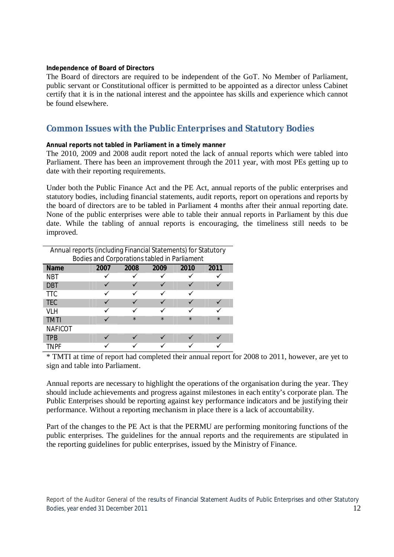#### **Independence of Board of Directors**

The Board of directors are required to be independent of the GoT. No Member of Parliament, public servant or Constitutional officer is permitted to be appointed as a director unless Cabinet certify that it is in the national interest and the appointee has skills and experience which cannot be found elsewhere.

# **Common Issues with the Public Enterprises and Statutory Bodies**

#### **Annual reports not tabled in Parliament in a timely manner**

The 2010, 2009 and 2008 audit report noted the lack of annual reports which were tabled into Parliament. There has been an improvement through the 2011 year, with most PEs getting up to date with their reporting requirements.

Under both the Public Finance Act and the PE Act, annual reports of the public enterprises and statutory bodies, including financial statements, audit reports, report on operations and reports by the board of directors are to be tabled in Parliament 4 months after their annual reporting date. None of the public enterprises were able to table their annual reports in Parliament by this due date. While the tabling of annual reports is encouraging, the timeliness still needs to be improved.

| Annual reports (including Financial Statements) for Statutory |      |         |         |         |         |  |  |  |  |
|---------------------------------------------------------------|------|---------|---------|---------|---------|--|--|--|--|
| Bodies and Corporations tabled in Parliament                  |      |         |         |         |         |  |  |  |  |
| <b>Name</b>                                                   | 2007 | 2008    | 2009    | 2010    | 2011    |  |  |  |  |
| <b>NBT</b>                                                    |      |         |         |         |         |  |  |  |  |
| <b>DBT</b>                                                    |      |         |         |         |         |  |  |  |  |
| <b>TTC</b>                                                    |      |         |         |         |         |  |  |  |  |
| <b>TEC</b>                                                    |      |         |         |         |         |  |  |  |  |
| VLH                                                           |      |         |         |         |         |  |  |  |  |
| <b>TMTI</b>                                                   |      | $\star$ | $\star$ | $\star$ | $\star$ |  |  |  |  |
| <b>NAFICOT</b>                                                |      |         |         |         |         |  |  |  |  |
| <b>TPB</b>                                                    |      |         |         |         |         |  |  |  |  |
| TNPF                                                          |      |         |         |         |         |  |  |  |  |

\* TMTI at time of report had completed their annual report for 2008 to 2011, however, are yet to sign and table into Parliament.

Annual reports are necessary to highlight the operations of the organisation during the year. They should include achievements and progress against milestones in each entity's corporate plan. The Public Enterprises should be reporting against key performance indicators and be justifying their performance. Without a reporting mechanism in place there is a lack of accountability.

Part of the changes to the PE Act is that the PERMU are performing monitoring functions of the public enterprises. The guidelines for the annual reports and the requirements are stipulated in the reporting guidelines for public enterprises, issued by the Ministry of Finance.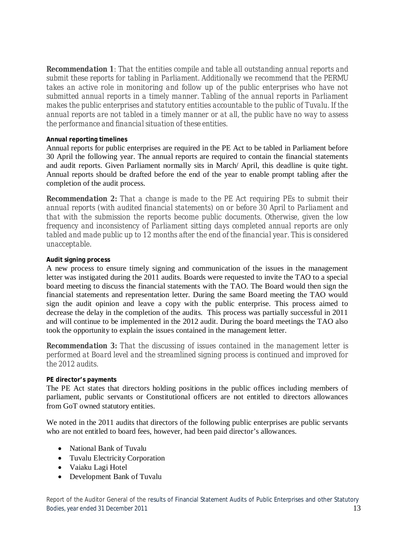*Recommendation 1: That the entities compile and table all outstanding annual reports and submit these reports for tabling in Parliament. Additionally we recommend that the PERMU*  takes an active role in monitoring and follow up of the public enterprises who have not *submitted annual reports in a timely manner. Tabling of the annual reports in Parliament makes the public enterprises and statutory entities accountable to the public of Tuvalu. If the annual reports are not tabled in a timely manner or at all, the public have no way to assess the performance and financial situation of these entities.*

# **Annual reporting timelines**

Annual reports for public enterprises are required in the PE Act to be tabled in Parliament before 30 April the following year. The annual reports are required to contain the financial statements and audit reports. Given Parliament normally sits in March/ April, this deadline is quite tight. Annual reports should be drafted before the end of the year to enable prompt tabling after the completion of the audit process.

*Recommendation 2: That a change is made to the PE Act requiring PEs to submit their annual reports (with audited financial statements) on or before 30 April to Parliament and that with the submission the reports become public documents. Otherwise, given the low frequency and inconsistency of Parliament sitting days completed annual reports are only tabled and made public up to 12 months after the end of the financial year. This is considered unacceptable.*

# **Audit signing process**

A new process to ensure timely signing and communication of the issues in the management letter was instigated during the 2011 audits. Boards were requested to invite the TAO to a special board meeting to discuss the financial statements with the TAO. The Board would then sign the financial statements and representation letter. During the same Board meeting the TAO would sign the audit opinion and leave a copy with the public enterprise. This process aimed to decrease the delay in the completion of the audits. This process was partially successful in 2011 and will continue to be implemented in the 2012 audit. During the board meetings the TAO also took the opportunity to explain the issues contained in the management letter.

*Recommendation 3: That the discussing of issues contained in the management letter is performed at Board level and the streamlined signing process is continued and improved for the 2012 audits.*

# **PE director's payments**

The PE Act states that directors holding positions in the public offices including members of parliament, public servants or Constitutional officers are not entitled to directors allowances from GoT owned statutory entities.

We noted in the 2011 audits that directors of the following public enterprises are public servants who are not entitled to board fees, however, had been paid director's allowances.

- National Bank of Tuvalu
- Tuvalu Electricity Corporation
- Vaiaku Lagi Hotel
- Development Bank of Tuvalu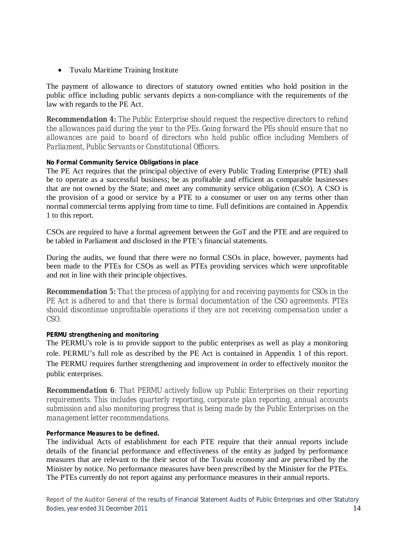Tuvalu Maritime Training Institute

The payment of allowance to directors of statutory owned entities who hold position in the public office including public servants depicts a non-compliance with the requirements of the law with regards to the PE Act.

*Recommendation 4: The Public Enterprise should request the respective directors to refund the allowances paid during the year to the PEs. Going forward the PEs should ensure that no allowances are paid to board of directors who hold public office including Members of Parliament, Public Servants or Constitutional Officers.*

# **No Formal Community Service Obligations in place**

The PE Act requires that the principal objective of every Public Trading Enterprise (PTE) shall be to operate as a successful business; be as profitable and efficient as comparable businesses that are not owned by the State; and meet any community service obligation (CSO). A CSO is the provision of a good or service by a PTE to a consumer or user on any terms other than normal commercial terms applying from time to time. Full definitions are contained in Appendix 1 to this report.

CSOs are required to have a formal agreement between the GoT and the PTE and are required to be tabled in Parliament and disclosed in the PTE's financial statements.

During the audits, we found that there were no formal CSOs in place, however, payments had been made to the PTEs for CSOs as well as PTEs providing services which were unprofitable and not in line with their principle objectives.

*Recommendation 5: That the process of applying for and receiving payments for CSOs in the PE Act is adhered to and that there is formal documentation of the CSO agreements. PTEs should discontinue unprofitable operations if they are not receiving compensation under a CSO.*

# **PERMU strengthening and monitoring**

The PERMU's role is to provide support to the public enterprises as well as play a monitoring role. PERMU's full role as described by the PE Act is contained in Appendix 1 of this report. The PERMU requires further strengthening and improvement in order to effectively monitor the public enterprises.

*Recommendation 6: That PERMU actively follow up Public Enterprises on their reporting requirements. This includes quarterly reporting, corporate plan reporting, annual accounts submission and also monitoring progress that is being made by the Public Enterprises on the management letter recommendations.*

# **Performance Measures to be defined.**

The individual Acts of establishment for each PTE require that their annual reports include details of the financial performance and effectiveness of the entity as judged by performance measures that are relevant to the their sector of the Tuvalu economy and are prescribed by the Minister by notice. No performance measures have been prescribed by the Minister for the PTEs. The PTEs currently do not report against any performance measures in their annual reports.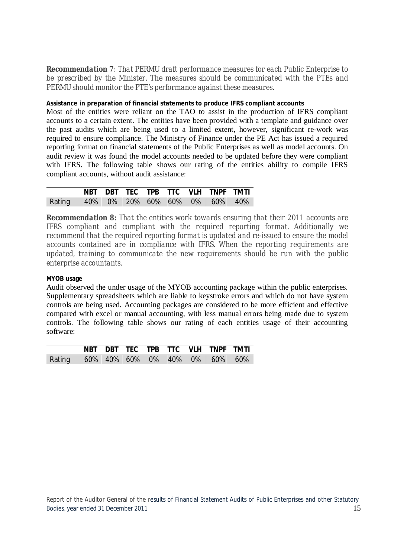*Recommendation 7: That PERMU draft performance measures for each Public Enterprise to be prescribed by the Minister. The measures should be communicated with the PTEs and PERMU should monitor the PTE's performance against these measures.*

# **Assistance in preparation of financial statements to produce IFRS compliant accounts**

Most of the entities were reliant on the TAO to assist in the production of IFRS compliant accounts to a certain extent. The entities have been provided with a template and guidance over the past audits which are being used to a limited extent, however, significant re-work was required to ensure compliance. The Ministry of Finance under the PE Act has issued a required reporting format on financial statements of the Public Enterprises as well as model accounts. On audit review it was found the model accounts needed to be updated before they were compliant with IFRS. The following table shows our rating of the entities ability to compile IFRS compliant accounts, without audit assistance:

|                                      |  |  |  | NBT DBT TEC TPB TTC VLH TNPF TMTI |  |
|--------------------------------------|--|--|--|-----------------------------------|--|
| Rating 40% 0% 20% 60% 60% 0% 60% 40% |  |  |  |                                   |  |

*Recommendation 8: That the entities work towards ensuring that their 2011 accounts are IFRS compliant and compliant with the required reporting format. Additionally we recommend that the required reporting format is updated and re-issued to ensure the model accounts contained are in compliance with IFRS. When the reporting requirements are updated, training to communicate the new requirements should be run with the public enterprise accountants.* 

# **MYOB usage**

Audit observed the under usage of the MYOB accounting package within the public enterprises. Supplementary spreadsheets which are liable to keystroke errors and which do not have system controls are being used. Accounting packages are considered to be more efficient and effective compared with excel or manual accounting, with less manual errors being made due to system controls. The following table shows our rating of each entities usage of their accounting software:

|                                      |  |  |  | NBT DBT TEC TPB TTC VLH TNPF TMTI |  |
|--------------------------------------|--|--|--|-----------------------------------|--|
| Rating 60% 40% 60% 0% 40% 0% 60% 60% |  |  |  |                                   |  |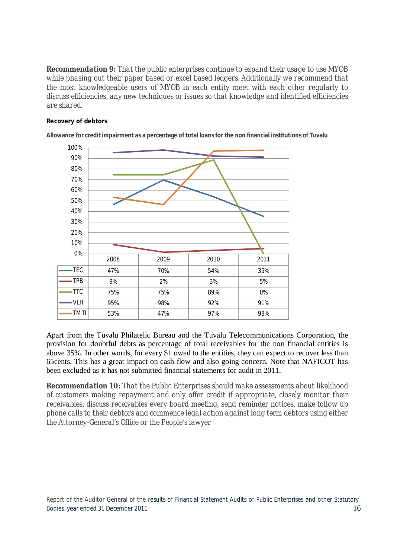*Recommendation 9: That the public enterprises continue to expand their usage to use MYOB while phasing out their paper based or excel based ledgers. Additionally we recommend that the most knowledgeable users of MYOB in each entity meet with each other regularly to discuss efficiencies, any new techniques or issues so that knowledge and identified efficiencies are shared.* 

#### **Recovery of debtors**



**Allowance for credit impairment as a percentage of total loans for the non financial institutions of Tuvalu**

Apart from the Tuvalu Philatelic Bureau and the Tuvalu Telecommunications Corporation, the provision for doubtful debts as percentage of total receivables for the non financial entities is above 35%. In other words, for every \$1 owed to the entities, they can expect to recover less than 65cents. This has a great impact on cash flow and also going concern. Note that NAFICOT has been excluded as it has not submitted financial statements for audit in 2011.

*Recommendation 10: That the Public Enterprises should make assessments about likelihood of customers making repayment and only offer credit if appropriate, closely monitor their receivables, discuss receivables every board meeting, send reminder notices, make follow up phone calls to their debtors and commence legal action against long term debtors using either the Attorney-General's Office or the People's lawyer*

Report of the Auditor General of the results of Financial Statement Audits of Public Enterprises and other Statutory Bodies, year ended 31 December 2011 16 and the state of the state of the state of the state of the state of the state of the state of the state of the state of the state of the state of the state of the state of the state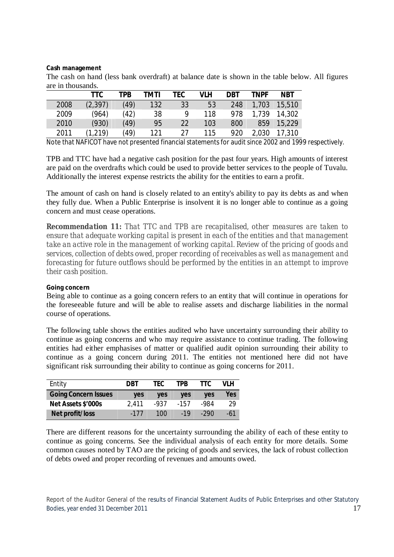#### **Cash management**

The cash on hand (less bank overdraft) at balance date is shown in the table below. All figures are in thousands.

|      | TTC      | TPB  | TMTI | TEC | VLH              | DBT | TNPF  | <b>NBT</b> |
|------|----------|------|------|-----|------------------|-----|-------|------------|
| 2008 | (2, 397) | (49) | 132  | 33  | 53               | 248 | 1,703 | 15,510     |
| 2009 | (964)    | (42) | 38   | 9   | 118              | 978 | 1,739 | 14,302     |
| 2010 | (930)    | (49) | 95   | 22  | 103 <sub>1</sub> | 800 | 859   | 15,229     |
| 2011 | (1,219)  | (49) | 121  | つフ  | 115              | 920 | 2,030 | 17,310     |

Note that NAFICOT have not presented financial statements for audit since 2002 and 1999 respectively.

TPB and TTC have had a negative cash position for the past four years. High amounts of interest are paid on the overdrafts which could be used to provide better services to the people of Tuvalu. Additionally the interest expense restricts the ability for the entities to earn a profit.

The amount of cash on hand is closely related to an entity's ability to pay its debts as and when they fully due. When a Public Enterprise is insolvent it is no longer able to continue as a going concern and must cease operations.

*Recommendation 11: That TTC and TPB are recapitalised, other measures are taken to ensure that adequate working capital is present in each of the entities and that management take an active role in the management of working capital. Review of the pricing of goods and services, collection of debts owed, proper recording of receivables as well as management and forecasting for future outflows should be performed by the entities in an attempt to improve their cash position.*

#### **Going concern**

Being able to continue as a going concern refers to an entity that will continue in operations for the foreseeable future and will be able to realise assets and discharge liabilities in the normal course of operations.

The following table shows the entities audited who have uncertainty surrounding their ability to continue as going concerns and who may require assistance to continue trading. The following entities had either emphasises of matter or qualified audit opinion surrounding their ability to continue as a going concern during 2011. The entities not mentioned here did not have significant risk surrounding their ability to continue as going concerns for 2011.

| Entity                      | DBT        | TFC. | TPR        | TTC.       | VI H |
|-----------------------------|------------|------|------------|------------|------|
| <b>Going Concern Issues</b> | <b>ves</b> | ves  | <b>ves</b> | <b>ves</b> | Yes  |
| Net Assets \$'000s          | 2.411      | -937 | $-157$     | -984       | 29   |
| Net profit/loss             | -177       | 100  | $-19$      | -290       | -61  |

There are different reasons for the uncertainty surrounding the ability of each of these entity to continue as going concerns. See the individual analysis of each entity for more details. Some common causes noted by TAO are the pricing of goods and services, the lack of robust collection of debts owed and proper recording of revenues and amounts owed.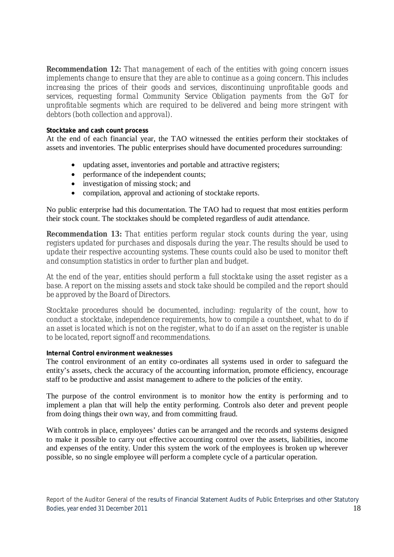*Recommendation 12: That management of each of the entities with going concern issues implements change to ensure that they are able to continue as a going concern. This includes increasing the prices of their goods and services, discontinuing unprofitable goods and services, requesting formal Community Service Obligation payments from the GoT for unprofitable segments which are required to be delivered and being more stringent with debtors (both collection and approval).*

# **Stocktake and cash count process**

At the end of each financial year, the TAO witnessed the entities perform their stocktakes of assets and inventories. The public enterprises should have documented procedures surrounding:

- updating asset, inventories and portable and attractive registers;
- performance of the independent counts;
- investigation of missing stock; and
- compilation, approval and actioning of stocktake reports.

No public enterprise had this documentation. The TAO had to request that most entities perform their stock count. The stocktakes should be completed regardless of audit attendance.

*Recommendation 13: That entities perform regular stock counts during the year, using registers updated for purchases and disposals during the year. The results should be used to update their respective accounting systems. These counts could also be used to monitor theft and consumption statistics in order to further plan and budget.* 

*At the end of the year, entities should perform a full stocktake using the asset register as a base. A report on the missing assets and stock take should be compiled and the report should be approved by the Board of Directors.*

*Stocktake procedures should be documented, including: regularity of the count, how to conduct a stocktake, independence requirements, how to compile a countsheet, what to do if an asset is located which is not on the register, what to do if an asset on the register is unable to be located, report signoff and recommendations.*

#### **Internal Control environment weaknesses**

The control environment of an entity co-ordinates all systems used in order to safeguard the entity's assets, check the accuracy of the accounting information, promote efficiency, encourage staff to be productive and assist management to adhere to the policies of the entity.

The purpose of the control environment is to monitor how the entity is performing and to implement a plan that will help the entity performing. Controls also deter and prevent people from doing things their own way, and from committing fraud.

With controls in place, employees' duties can be arranged and the records and systems designed to make it possible to carry out effective accounting control over the assets, liabilities, income and expenses of the entity. Under this system the work of the employees is broken up wherever possible, so no single employee will perform a complete cycle of a particular operation.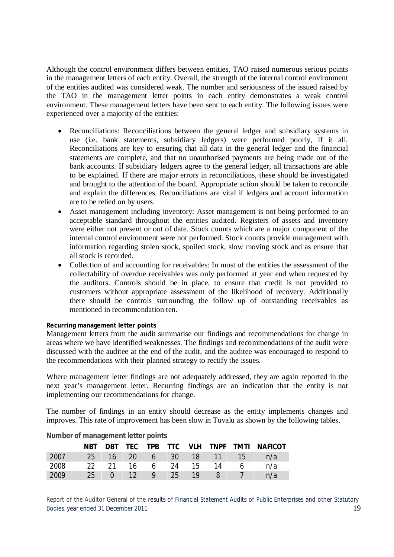Although the control environment differs between entities, TAO raised numerous serious points in the management letters of each entity. Overall, the strength of the internal control environment of the entities audited was considered weak. The number and seriousness of the issued raised by the TAO in the management letter points in each entity demonstrates a weak control environment. These management letters have been sent to each entity. The following issues were experienced over a majority of the entities:

- Reconciliations: Reconciliations between the general ledger and subsidiary systems in use (i.e. bank statements, subsidiary ledgers) were performed poorly, if it all. Reconciliations are key to ensuring that all data in the general ledger and the financial statements are complete, and that no unauthorised payments are being made out of the bank accounts. If subsidiary ledgers agree to the general ledger, all transactions are able to be explained. If there are major errors in reconciliations, these should be investigated and brought to the attention of the board. Appropriate action should be taken to reconcile and explain the differences. Reconciliations are vital if ledgers and account information are to be relied on by users.
- Asset management including inventory: Asset management is not being performed to an acceptable standard throughout the entities audited. Registers of assets and inventory were either not present or out of date. Stock counts which are a major component of the internal control environment were not performed. Stock counts provide management with information regarding stolen stock, spoiled stock, slow moving stock and as ensure that all stock is recorded.
- Collection of and accounting for receivables: In most of the entities the assessment of the collectability of overdue receivables was only performed at year end when requested by the auditors. Controls should be in place, to ensure that credit is not provided to customers without appropriate assessment of the likelihood of recovery. Additionally there should be controls surrounding the follow up of outstanding receivables as mentioned in recommendation ten.

# **Recurring management letter points**

Management letters from the audit summarise our findings and recommendations for change in areas where we have identified weaknesses. The findings and recommendations of the audit were discussed with the auditee at the end of the audit, and the auditee was encouraged to respond to the recommendations with their planned strategy to rectify the issues.

Where management letter findings are not adequately addressed, they are again reported in the next year's management letter. Recurring findings are an indication that the entity is not implementing our recommendations for change.

The number of findings in an entity should decrease as the entity implements changes and improves. This rate of improvement has been slow in Tuvalu as shown by the following tables.

|      | <b>NBT</b> | DBT TEC |                 |                 |     |       | TPB TTC VLH TNPF TMTI |       | <b>NAFICOT</b> |
|------|------------|---------|-----------------|-----------------|-----|-------|-----------------------|-------|----------------|
| 2007 | 25         |         |                 |                 |     |       | 16 20 6 30 18 11      | $-15$ | n/a            |
| 2008 | -22        | 21      | 16 —            | $6\overline{6}$ | -24 | $-15$ | -14                   | 6     | n/a            |
| 2009 | 25         |         | 12 <sup>7</sup> | $\mathsf{Q}$    | 25  | -19   | 8                     |       | n/a            |

# **Number of management letter points**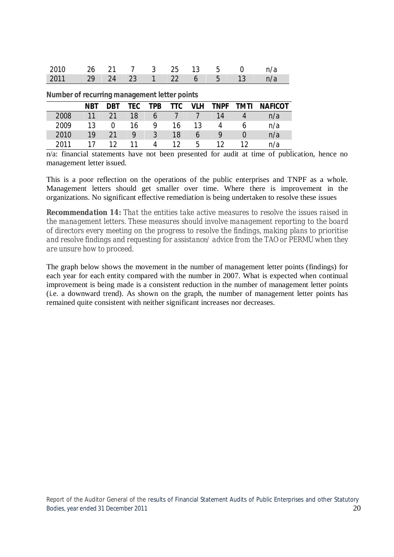| 2010 26 21 7 3 25 13 5 0 n/a  |  |  |  |  |  |
|-------------------------------|--|--|--|--|--|
| 2011 29 24 23 1 22 6 5 13 n/a |  |  |  |  |  |

**Number of recurring management letter points**

| <b>NUMBER OF RECOMMING MANAGEMENT RELIEF DOMES</b> |            |                 |     |              |     |            |                 |             |                |  |
|----------------------------------------------------|------------|-----------------|-----|--------------|-----|------------|-----------------|-------------|----------------|--|
|                                                    | <b>NBT</b> | <b>DBT</b>      | TEC | TPB          | TTC | <b>VLH</b> | <b>TNPF</b>     | <b>TMTI</b> | <b>NAFICOT</b> |  |
| 2008                                               | 11         | 21              | 18  | <sub>6</sub> |     |            | 14              |             | n/a            |  |
| 2009                                               | 13         |                 | 16  | 9            | 16  | 13         |                 |             | n/a            |  |
| 2010                                               | 19         | 21              | Q   | 3            | 18  | b          | Q               |             | n/a            |  |
| 2011                                               |            | 12 <sub>1</sub> |     | 4            | 12  | 5.         | 12 <sup>°</sup> |             | n/a            |  |

n/a: financial statements have not been presented for audit at time of publication, hence no management letter issued.

This is a poor reflection on the operations of the public enterprises and TNPF as a whole. Management letters should get smaller over time. Where there is improvement in the organizations. No significant effective remediation is being undertaken to resolve these issues

*Recommendation 14: That the entities take active measures to resolve the issues raised in the management letters. These measures should involve management reporting to the board of directors every meeting on the progress to resolve the findings, making plans to prioritise and resolve findings and requesting for assistance/ advice from the TAO or PERMU when they are unsure how to proceed.*

The graph below shows the movement in the number of management letter points (findings) for each year for each entity compared with the number in 2007. What is expected when continual improvement is being made is a consistent reduction in the number of management letter points (i.e. a downward trend). As shown on the graph, the number of management letter points has remained quite consistent with neither significant increases nor decreases.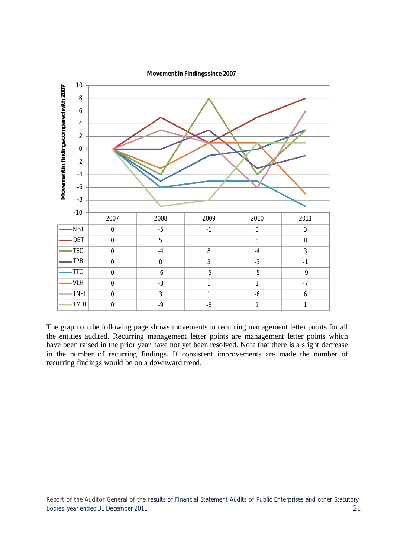

The graph on the following page shows movements in recurring management letter points for all the entities audited. Recurring management letter points are management letter points which have been raised in the prior year have not yet been resolved. Note that there is a slight decrease in the number of recurring findings. If consistent improvements are made the number of recurring findings would be on a downward trend.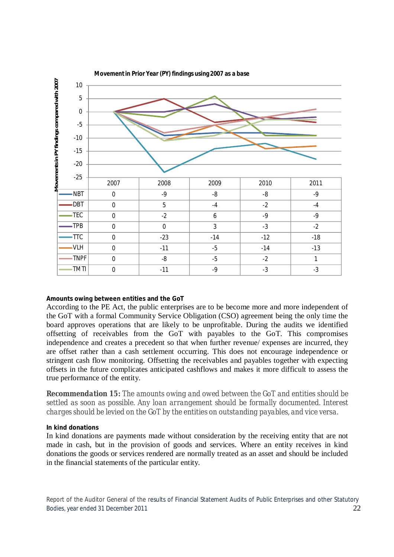

#### **Amounts owing between entities and the GoT**

According to the PE Act, the public enterprises are to be become more and more independent of the GoT with a formal Community Service Obligation (CSO) agreement being the only time the board approves operations that are likely to be unprofitable. During the audits we identified offsetting of receivables from the GoT with payables to the GoT. This compromises independence and creates a precedent so that when further revenue/ expenses are incurred, they are offset rather than a cash settlement occurring. This does not encourage independence or stringent cash flow monitoring. Offsetting the receivables and payables together with expecting offsets in the future complicates anticipated cashflows and makes it more difficult to assess the true performance of the entity.

*Recommendation 15: The amounts owing and owed between the GoT and entities should be settled as soon as possible. Any loan arrangement should be formally documented. Interest charges should be levied on the GoT by the entities on outstanding payables, and vice versa.*

#### **In kind donations**

In kind donations are payments made without consideration by the receiving entity that are not made in cash, but in the provision of goods and services. Where an entity receives in kind donations the goods or services rendered are normally treated as an asset and should be included in the financial statements of the particular entity.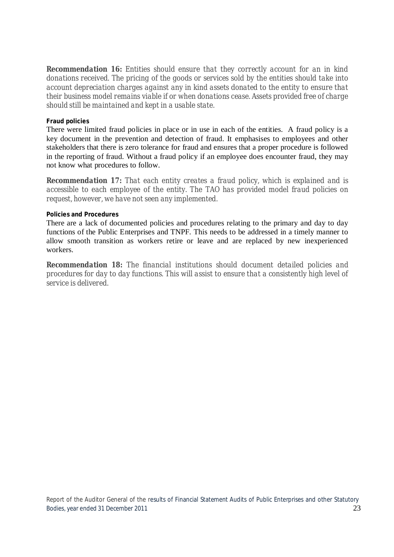*Recommendation 16: Entities should ensure that they correctly account for an in kind donations received. The pricing of the goods or services sold by the entities should take into account depreciation charges against any in kind assets donated to the entity to ensure that their business model remains viable if or when donations cease. Assets provided free of charge should still be maintained and kept in a usable state.*

# **Fraud policies**

There were limited fraud policies in place or in use in each of the entities. A fraud policy is a key document in the prevention and detection of fraud. It emphasises to employees and other stakeholders that there is zero tolerance for fraud and ensures that a proper procedure is followed in the reporting of fraud. Without a fraud policy if an employee does encounter fraud, they may not know what procedures to follow.

*Recommendation 17: That each entity creates a fraud policy, which is explained and is accessible to each employee of the entity. The TAO has provided model fraud policies on request, however, we have not seen any implemented.* 

# **Policies and Procedures**

There are a lack of documented policies and procedures relating to the primary and day to day functions of the Public Enterprises and TNPF. This needs to be addressed in a timely manner to allow smooth transition as workers retire or leave and are replaced by new inexperienced workers.

*Recommendation 18: The financial institutions should document detailed policies and procedures for day to day functions. This will assist to ensure that a consistently high level of service is delivered.*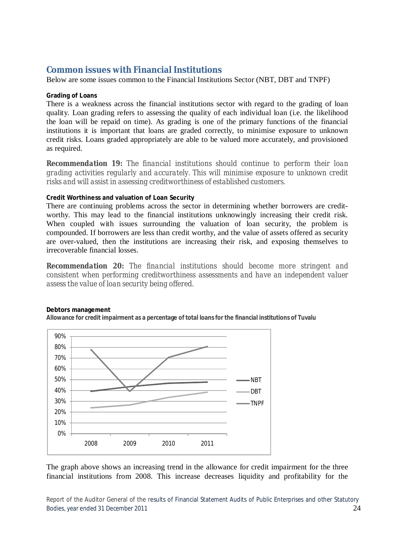# **Common issues with Financial Institutions**

Below are some issues common to the Financial Institutions Sector (NBT, DBT and TNPF)

## **Grading of Loans**

There is a weakness across the financial institutions sector with regard to the grading of loan quality. Loan grading refers to assessing the quality of each individual loan (i.e. the likelihood the loan will be repaid on time). As grading is one of the primary functions of the financial institutions it is important that loans are graded correctly, to minimise exposure to unknown credit risks. Loans graded appropriately are able to be valued more accurately, and provisioned as required.

*Recommendation 19: The financial institutions should continue to perform their loan grading activities regularly and accurately. This will minimise exposure to unknown credit risks and will assist in assessing creditworthiness of established customers.* 

# **Credit Worthiness and valuation of Loan Security**

There are continuing problems across the sector in determining whether borrowers are creditworthy. This may lead to the financial institutions unknowingly increasing their credit risk. When coupled with issues surrounding the valuation of loan security, the problem is compounded. If borrowers are less than credit worthy, and the value of assets offered as security are over-valued, then the institutions are increasing their risk, and exposing themselves to irrecoverable financial losses.

*Recommendation 20: The financial institutions should become more stringent and consistent when performing creditworthiness assessments and have an independent valuer assess the value of loan security being offered.* 



#### **Debtors management**

**Allowance for credit impairment as a percentage of total loans for the financial institutions of Tuvalu**

The graph above shows an increasing trend in the allowance for credit impairment for the three financial institutions from 2008. This increase decreases liquidity and profitability for the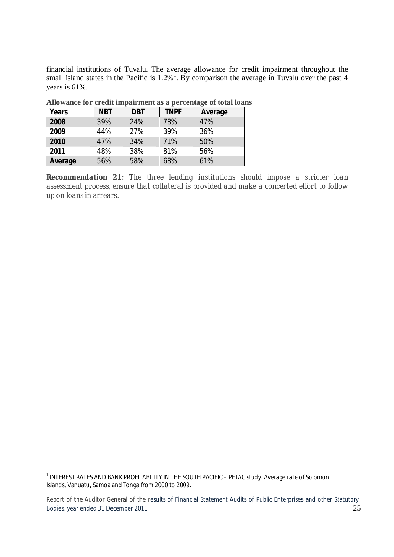financial institutions of Tuvalu. The average allowance for credit impairment throughout the small island states in the Pacific is  $1.2\%$ <sup>1</sup>. By comparison the average in Tuvalu over the past 4 years is 61%.

| Years   | <b>NBT</b> | <b>DBT</b> | <b>TNPF</b> | Average |
|---------|------------|------------|-------------|---------|
| 2008    | 39%        | 24%        | 78%         | 47%     |
| 2009    | 44%        | 27%        | 39%         | 36%     |
| 2010    | 47%        | 34%        | 71%         | 50%     |
| 2011    | 48%        | 38%        | 81%         | 56%     |
| Average | 56%        | 58%        | 68%         | 61%     |

**Allowance for credit impairment as a percentage of total loans**

*Recommendation 21: The three lending institutions should impose a stricter loan assessment process, ensure that collateral is provided and make a concerted effort to follow up on loans in arrears.*

<u>.</u>

<sup>&</sup>lt;sup>1</sup> INTEREST RATES AND BANK PROFITABILITY IN THE SOUTH PACIFIC - PFTAC study. Average rate of Solomon Islands, Vanuatu, Samoa and Tonga from 2000 to 2009.

Report of the Auditor General of the results of Financial Statement Audits of Public Enterprises and other Statutory Bodies, year ended 31 December 2011 25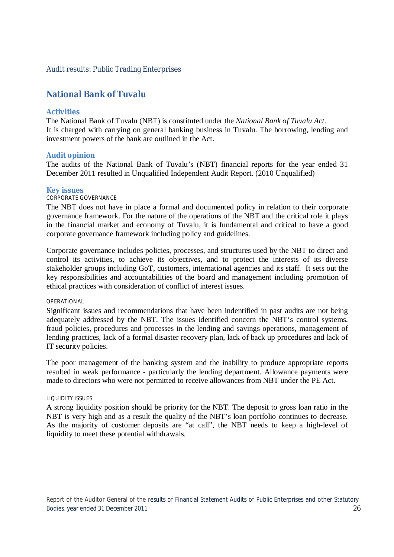# **National Bank of Tuvalu**

# **Activities**

The National Bank of Tuvalu (NBT) is constituted under the *National Bank of Tuvalu Act*. It is charged with carrying on general banking business in Tuvalu. The borrowing, lending and investment powers of the bank are outlined in the Act.

# **Audit opinion**

The audits of the National Bank of Tuvalu's (NBT) financial reports for the year ended 31 December 2011 resulted in Unqualified Independent Audit Report. (2010 Unqualified)

#### **Key issues**

#### CORPORATE GOVERNANCE

The NBT does not have in place a formal and documented policy in relation to their corporate governance framework. For the nature of the operations of the NBT and the critical role it plays in the financial market and economy of Tuvalu, it is fundamental and critical to have a good corporate governance framework including policy and guidelines.

Corporate governance includes policies, processes, and structures used by the NBT to direct and control its activities, to achieve its objectives, and to protect the interests of its diverse stakeholder groups including GoT, customers, international agencies and its staff. It sets out the key responsibilities and accountabilities of the board and management including promotion of ethical practices with consideration of conflict of interest issues.

#### OPERATIONAL

Significant issues and recommendations that have been indentified in past audits are not being adequately addressed by the NBT. The issues identified concern the NBT's control systems, fraud policies, procedures and processes in the lending and savings operations, management of lending practices, lack of a formal disaster recovery plan, lack of back up procedures and lack of IT security policies.

The poor management of the banking system and the inability to produce appropriate reports resulted in weak performance - particularly the lending department. Allowance payments were made to directors who were not permitted to receive allowances from NBT under the PE Act.

#### LIQUIDITY ISSUES

A strong liquidity position should be priority for the NBT. The deposit to gross loan ratio in the NBT is very high and as a result the quality of the NBT's loan portfolio continues to decrease. As the majority of customer deposits are "at call", the NBT needs to keep a high-level of liquidity to meet these potential withdrawals.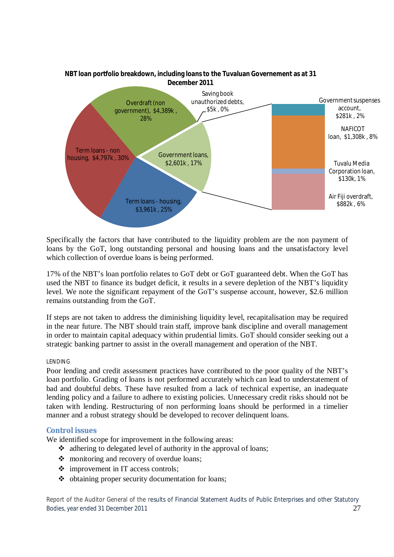

**NBT loan portfolio breakdown, including loans to the Tuvaluan Governement as at 31 December 2011**

Specifically the factors that have contributed to the liquidity problem are the non payment of loans by the GoT, long outstanding personal and housing loans and the unsatisfactory level which collection of overdue loans is being performed.

17% of the NBT's loan portfolio relates to GoT debt or GoT guaranteed debt. When the GoT has used the NBT to finance its budget deficit, it results in a severe depletion of the NBT's liquidity level. We note the significant repayment of the GoT's suspense account, however, \$2.6 million remains outstanding from the GoT.

If steps are not taken to address the diminishing liquidity level, recapitalisation may be required in the near future. The NBT should train staff, improve bank discipline and overall management in order to maintain capital adequacy within prudential limits. GoT should consider seeking out a strategic banking partner to assist in the overall management and operation of the NBT.

#### LENDING

Poor lending and credit assessment practices have contributed to the poor quality of the NBT's loan portfolio. Grading of loans is not performed accurately which can lead to understatement of bad and doubtful debts. These have resulted from a lack of technical expertise, an inadequate lending policy and a failure to adhere to existing policies. Unnecessary credit risks should not be taken with lending. Restructuring of non performing loans should be performed in a timelier manner and a robust strategy should be developed to recover delinquent loans.

#### **Control issues**

We identified scope for improvement in the following areas:

- $\triangleleft$  adhering to delegated level of authority in the approval of loans;
- monitoring and recovery of overdue loans;
- $\div$  improvement in IT access controls;
- $\triangle$  obtaining proper security documentation for loans;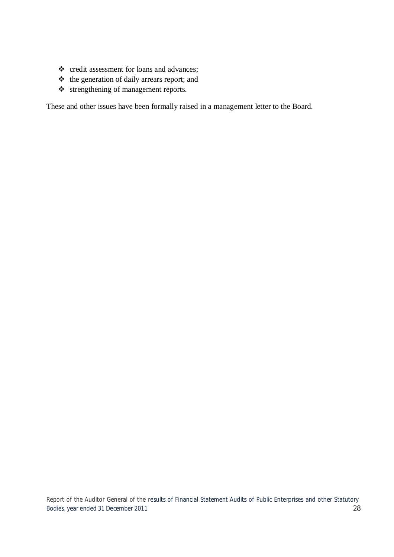- \* credit assessment for loans and advances;
- the generation of daily arrears report; and
- strengthening of management reports.

These and other issues have been formally raised in a management letter to the Board.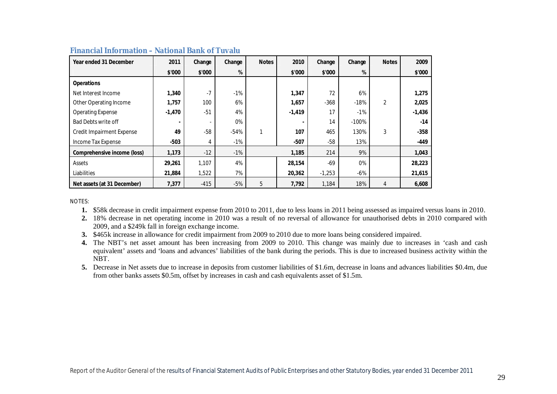| Year ended 31 December           | 2011     | Change | Change | <b>Notes</b> | 2010     | Change   | Change  | <b>Notes</b>   | 2009     |
|----------------------------------|----------|--------|--------|--------------|----------|----------|---------|----------------|----------|
|                                  | \$'000   | \$'000 | %      |              | \$'000   | \$'000   | %       |                | \$'000   |
| <b>Operations</b>                |          |        |        |              |          |          |         |                |          |
| Net Interest Income              | 1,340    | $-7$   | $-1%$  |              | 1,347    | 72       | 6%      |                | 1,275    |
| Other Operating Income           | 1,757    | 100    | 6%     |              | 1,657    | $-368$   | $-18%$  | $\overline{2}$ | 2,025    |
| <b>Operating Expense</b>         | $-1,470$ | $-51$  | 4%     |              | $-1,419$ | 17       | $-1%$   |                | $-1,436$ |
| <b>Bad Debts write off</b>       |          |        | 0%     |              |          | 14       | $-100%$ |                | $-14$    |
| <b>Credit Impairment Expense</b> | 49       | $-58$  | $-54%$ | 1            | 107      | 465      | 130%    | 3              | $-358$   |
| Income Tax Expense               | $-503$   | 4      | -1%    |              | $-507$   | $-58$    | 13%     |                | $-449$   |
| Comprehensive income (loss)      | 1,173    | $-12$  | $-1\%$ |              | 1,185    | 214      | 9%      |                | 1,043    |
| Assets                           | 29,261   | 1,107  | 4%     |              | 28,154   | $-69$    | 0%      |                | 28,223   |
| Liabilities                      | 21,884   | 1,522  | 7%     |              | 20,362   | $-1,253$ | $-6%$   |                | 21,615   |
| Net assets (at 31 December)      | 7,377    | $-415$ | $-5%$  | 5            | 7,792    | 1,184    | 18%     | 4              | 6,608    |

#### **Financial Information – National Bank of Tuvalu**

NOTES:

**1.** \$58k decrease in credit impairment expense from 2010 to 2011, due to less loans in 2011 being assessed as impaired versus loans in 2010.

**2.** 18% decrease in net operating income in 2010 was a result of no reversal of allowance for unauthorised debts in 2010 compared with 2009, and a \$249k fall in foreign exchange income.

**3.** \$465k increase in allowance for credit impairment from 2009 to 2010 due to more loans being considered impaired.

**4.** The NBT's net asset amount has been increasing from 2009 to 2010. This change was mainly due to increases in 'cash and cash equivalent' assets and 'loans and advances' liabilities of the bank during the periods. This is due to increased business activity within the NBT.

**5.** Decrease in Net assets due to increase in deposits from customer liabilities of \$1.6m, decrease in loans and advances liabilities \$0.4m, due from other banks assets \$0.5m, offset by increases in cash and cash equivalents asset of \$1.5m.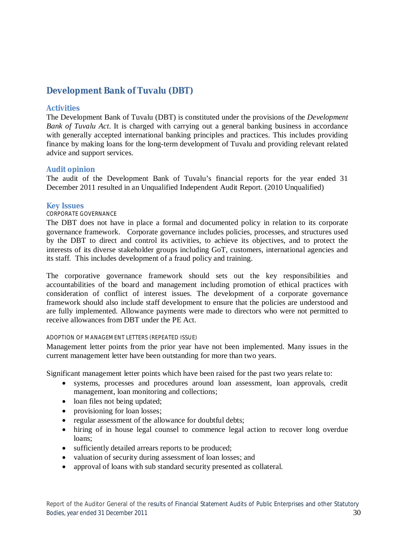# **Development Bank of Tuvalu (DBT)**

# **Activities**

The Development Bank of Tuvalu (DBT) is constituted under the provisions of the *Development Bank of Tuvalu Act*. It is charged with carrying out a general banking business in accordance with generally accepted international banking principles and practices. This includes providing finance by making loans for the long-term development of Tuvalu and providing relevant related advice and support services.

# **Audit opinion**

The audit of the Development Bank of Tuvalu's financial reports for the year ended 31 December 2011 resulted in an Unqualified Independent Audit Report. (2010 Unqualified)

# **Key Issues**

# CORPORATE GOVERNANCE

The DBT does not have in place a formal and documented policy in relation to its corporate governance framework. Corporate governance includes policies, processes, and structures used by the DBT to direct and control its activities, to achieve its objectives, and to protect the interests of its diverse stakeholder groups including GoT, customers, international agencies and its staff. This includes development of a fraud policy and training.

The corporative governance framework should sets out the key responsibilities and accountabilities of the board and management including promotion of ethical practices with consideration of conflict of interest issues. The development of a corporate governance framework should also include staff development to ensure that the policies are understood and are fully implemented. Allowance payments were made to directors who were not permitted to receive allowances from DBT under the PE Act.

# ADOPTION OF MANAGEMENT LETTERS (REPEATED ISSUE)

Management letter points from the prior year have not been implemented. Many issues in the current management letter have been outstanding for more than two years.

Significant management letter points which have been raised for the past two years relate to:

- systems, processes and procedures around loan assessment, loan approvals, credit management, loan monitoring and collections;
- loan files not being updated;
- provisioning for loan losses;
- regular assessment of the allowance for doubtful debts;
- hiring of in house legal counsel to commence legal action to recover long overdue loans;
- sufficiently detailed arrears reports to be produced;
- valuation of security during assessment of loan losses; and
- approval of loans with sub standard security presented as collateral.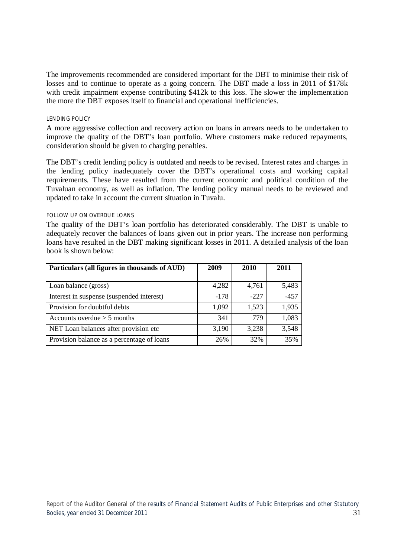The improvements recommended are considered important for the DBT to minimise their risk of losses and to continue to operate as a going concern. The DBT made a loss in 2011 of \$178k with credit impairment expense contributing \$412k to this loss. The slower the implementation the more the DBT exposes itself to financial and operational inefficiencies.

#### LENDING POLICY

A more aggressive collection and recovery action on loans in arrears needs to be undertaken to improve the quality of the DBT's loan portfolio. Where customers make reduced repayments, consideration should be given to charging penalties.

The DBT's credit lending policy is outdated and needs to be revised. Interest rates and charges in the lending policy inadequately cover the DBT's operational costs and working capital requirements. These have resulted from the current economic and political condition of the Tuvaluan economy, as well as inflation. The lending policy manual needs to be reviewed and updated to take in account the current situation in Tuvalu.

#### FOLLOW UP ON OVERDUE LOANS

The quality of the DBT's loan portfolio has deteriorated considerably. The DBT is unable to adequately recover the balances of loans given out in prior years. The increase non performing loans have resulted in the DBT making significant losses in 2011. A detailed analysis of the loan book is shown below:

| Particulars (all figures in thousands of AUD) | 2009   | 2010   | 2011   |
|-----------------------------------------------|--------|--------|--------|
|                                               |        |        |        |
| Loan balance (gross)                          | 4,282  | 4,761  | 5,483  |
| Interest in suspense (suspended interest)     | $-178$ | $-227$ | $-457$ |
| Provision for doubtful debts                  | 1,092  | 1,523  | 1,935  |
| Accounts overdue $> 5$ months                 | 341    | 779    | 1,083  |
| NET Loan balances after provision etc         | 3,190  | 3,238  | 3,548  |
| Provision balance as a percentage of loans    | 26%    | 32%    | 35%    |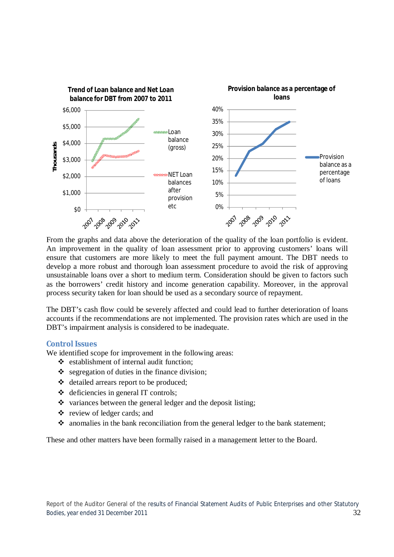

From the graphs and data above the deterioration of the quality of the loan portfolio is evident. An improvement in the quality of loan assessment prior to approving customers' loans will ensure that customers are more likely to meet the full payment amount. The DBT needs to develop a more robust and thorough loan assessment procedure to avoid the risk of approving unsustainable loans over a short to medium term. Consideration should be given to factors such as the borrowers' credit history and income generation capability. Moreover, in the approval process security taken for loan should be used as a secondary source of repayment.

The DBT's cash flow could be severely affected and could lead to further deterioration of loans accounts if the recommendations are not implemented. The provision rates which are used in the DBT's impairment analysis is considered to be inadequate.

# **Control Issues**

We identified scope for improvement in the following areas:

- establishment of internal audit function;
- $\bullet$  segregation of duties in the finance division;
- detailed arrears report to be produced;
- $\triangleleft$  deficiencies in general IT controls;
- $\cdot$  variances between the general ledger and the deposit listing;
- review of ledger cards; and
- $\cdot$  anomalies in the bank reconciliation from the general ledger to the bank statement;

These and other matters have been formally raised in a management letter to the Board.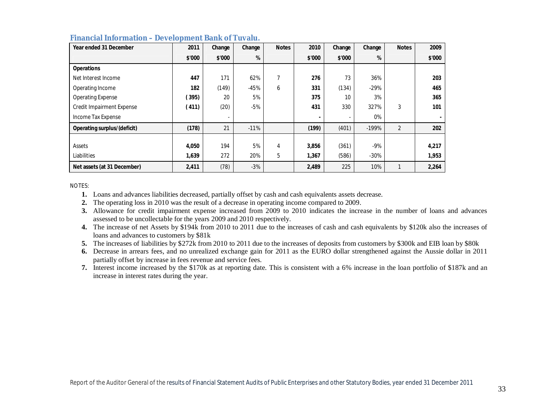| Year ended 31 December           | 2011   | Change | Change | <b>Notes</b> | 2010   | Change | Change  | <b>Notes</b>   | 2009   |
|----------------------------------|--------|--------|--------|--------------|--------|--------|---------|----------------|--------|
|                                  | \$'000 | \$'000 | %      |              | \$'000 | \$'000 | %       |                | \$'000 |
| <b>Operations</b>                |        |        |        |              |        |        |         |                |        |
| Net Interest Income              | 447    | 171    | 62%    | 7            | 276    | 73     | 36%     |                | 203    |
| Operating Income                 | 182    | (149)  | $-45%$ | 6            | 331    | (134)  | $-29%$  |                | 465    |
| <b>Operating Expense</b>         | (395)  | 20     | 5%     |              | 375    | 10     | 3%      |                | 365    |
| <b>Credit Impairment Expense</b> | (411)  | (20)   | $-5%$  |              | 431    | 330    | 327%    | 3              | 101    |
| Income Tax Expense               |        |        |        |              |        |        | 0%      |                |        |
| Operating surplus/(deficit)      | (178)  | 21     | $-11%$ |              | (199)  | (401)  | $-199%$ | $\overline{2}$ | 202    |
|                                  |        |        |        |              |        |        |         |                |        |
| Assets                           | 4,050  | 194    | 5%     | 4            | 3,856  | (361)  | $-9%$   |                | 4,217  |
| Liabilities                      | 1,639  | 272    | 20%    | 5            | 1,367  | (586)  | $-30%$  |                | 1,953  |
| Net assets (at 31 December)      | 2,411  | (78)   | $-3%$  |              | 2,489  | 225    | 10%     |                | 2,264  |

#### **Financial Information – Development Bank of Tuvalu.**

NOTES:

**1.** Loans and advances liabilities decreased, partially offset by cash and cash equivalents assets decrease.

**2.** The operating loss in 2010 was the result of a decrease in operating income compared to 2009.

**3.** Allowance for credit impairment expense increased from 2009 to 2010 indicates the increase in the number of loans and advances assessed to be uncollectable for the years 2009 and 2010 respectively.

- **4.** The increase of net Assets by \$194k from 2010 to 2011 due to the increases of cash and cash equivalents by \$120k also the increases of loans and advances to customers by \$81k
- **5.** The increases of liabilities by \$272k from 2010 to 2011 due to the increases of deposits from customers by \$300k and EIB loan by \$80k
- **6.** Decrease in arrears fees, and no unrealized exchange gain for 2011 as the EURO dollar strengthened against the Aussie dollar in 2011 partially offset by increase in fees revenue and service fees.
- **7.** Interest income increased by the \$170k as at reporting date. This is consistent with a 6% increase in the loan portfolio of \$187k and an increase in interest rates during the year.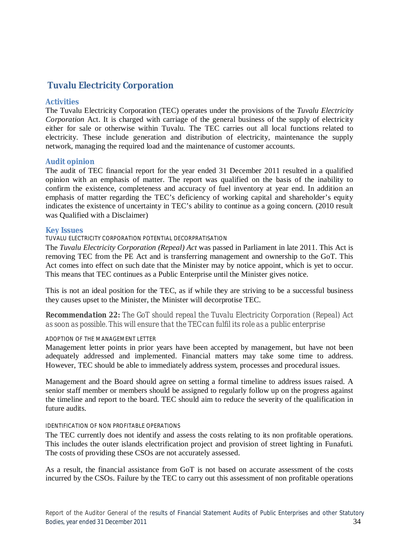# **Tuvalu Electricity Corporation**

# **Activities**

The Tuvalu Electricity Corporation (TEC) operates under the provisions of the *Tuvalu Electricity Corporation* Act. It is charged with carriage of the general business of the supply of electricity either for sale or otherwise within Tuvalu. The TEC carries out all local functions related to electricity. These include generation and distribution of electricity, maintenance the supply network, managing the required load and the maintenance of customer accounts.

# **Audit opinion**

The audit of TEC financial report for the year ended 31 December 2011 resulted in a qualified opinion with an emphasis of matter. The report was qualified on the basis of the inability to confirm the existence, completeness and accuracy of fuel inventory at year end. In addition an emphasis of matter regarding the TEC's deficiency of working capital and shareholder's equity indicates the existence of uncertainty in TEC's ability to continue as a going concern. (2010 result was Qualified with a Disclaimer)

# **Key Issues**

# TUVALU ELECTRICITY CORPORATION POTENTIAL DECORPRATISATION

The *Tuvalu Electricity Corporation (Repeal) Act* was passed in Parliament in late 2011. This Act is removing TEC from the PE Act and is transferring management and ownership to the GoT. This Act comes into effect on such date that the Minister may by notice appoint, which is yet to occur. This means that TEC continues as a Public Enterprise until the Minister gives notice.

This is not an ideal position for the TEC, as if while they are striving to be a successful business they causes upset to the Minister, the Minister will decorprotise TEC.

*Recommendation 22: The GoT should repeal the Tuvalu Electricity Corporation (Repeal) Act as soon as possible. This will ensure that the TEC can fulfil its role as a public enterprise*

# ADOPTION OF THE MANAGEMENT LETTER

Management letter points in prior years have been accepted by management, but have not been adequately addressed and implemented. Financial matters may take some time to address. However, TEC should be able to immediately address system, processes and procedural issues.

Management and the Board should agree on setting a formal timeline to address issues raised. A senior staff member or members should be assigned to regularly follow up on the progress against the timeline and report to the board. TEC should aim to reduce the severity of the qualification in future audits.

#### IDENTIFICATION OF NON PROFITABLE OPERATIONS

The TEC currently does not identify and assess the costs relating to its non profitable operations. This includes the outer islands electrification project and provision of street lighting in Funafuti. The costs of providing these CSOs are not accurately assessed.

As a result, the financial assistance from GoT is not based on accurate assessment of the costs incurred by the CSOs. Failure by the TEC to carry out this assessment of non profitable operations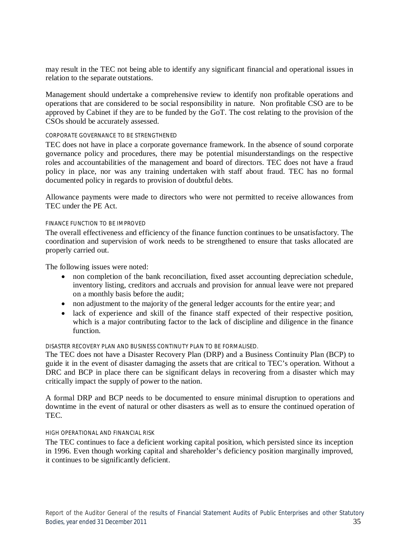may result in the TEC not being able to identify any significant financial and operational issues in relation to the separate outstations.

Management should undertake a comprehensive review to identify non profitable operations and operations that are considered to be social responsibility in nature. Non profitable CSO are to be approved by Cabinet if they are to be funded by the GoT. The cost relating to the provision of the CSOs should be accurately assessed.

#### CORPORATE GOVERNANCE TO BE STRENGTHENED

TEC does not have in place a corporate governance framework. In the absence of sound corporate governance policy and procedures, there may be potential misunderstandings on the respective roles and accountabilities of the management and board of directors. TEC does not have a fraud policy in place, nor was any training undertaken with staff about fraud. TEC has no formal documented policy in regards to provision of doubtful debts.

Allowance payments were made to directors who were not permitted to receive allowances from TEC under the PE Act.

#### FINANCE FUNCTION TO BE IMPROVED

The overall effectiveness and efficiency of the finance function continues to be unsatisfactory. The coordination and supervision of work needs to be strengthened to ensure that tasks allocated are properly carried out.

The following issues were noted:

- non completion of the bank reconciliation, fixed asset accounting depreciation schedule, inventory listing, creditors and accruals and provision for annual leave were not prepared on a monthly basis before the audit;
- non adjustment to the majority of the general ledger accounts for the entire year; and
- lack of experience and skill of the finance staff expected of their respective position, which is a major contributing factor to the lack of discipline and diligence in the finance function.

#### DISASTER RECOVERY PLAN AND BUSINESS CONTINUTY PLAN TO BE FORMALISED.

The TEC does not have a Disaster Recovery Plan (DRP) and a Business Continuity Plan (BCP) to guide it in the event of disaster damaging the assets that are critical to TEC's operation. Without a DRC and BCP in place there can be significant delays in recovering from a disaster which may critically impact the supply of power to the nation.

A formal DRP and BCP needs to be documented to ensure minimal disruption to operations and downtime in the event of natural or other disasters as well as to ensure the continued operation of TEC.

#### HIGH OPERATIONAL AND FINANCIAL RISK

The TEC continues to face a deficient working capital position, which persisted since its inception in 1996. Even though working capital and shareholder's deficiency position marginally improved, it continues to be significantly deficient.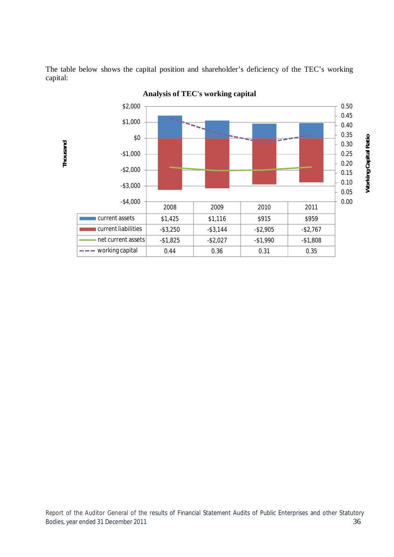



**Analysis of TEC's working capital**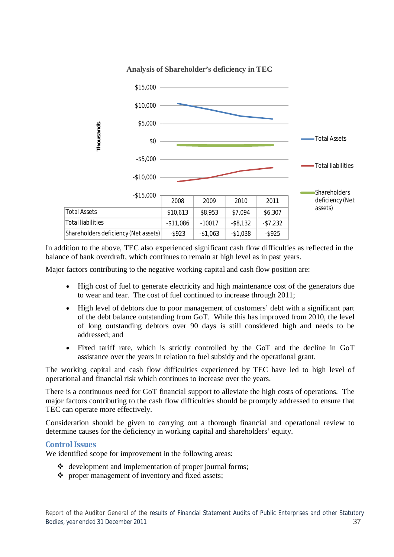

**Analysis of Shareholder's deficiency in TEC**

In addition to the above, TEC also experienced significant cash flow difficulties as reflected in the balance of bank overdraft, which continues to remain at high level as in past years.

Major factors contributing to the negative working capital and cash flow position are:

- High cost of fuel to generate electricity and high maintenance cost of the generators due to wear and tear. The cost of fuel continued to increase through 2011;
- High level of debtors due to poor management of customers' debt with a significant part of the debt balance outstanding from GoT. While this has improved from 2010, the level of long outstanding debtors over 90 days is still considered high and needs to be addressed; and
- Fixed tariff rate, which is strictly controlled by the GoT and the decline in GoT assistance over the years in relation to fuel subsidy and the operational grant.

The working capital and cash flow difficulties experienced by TEC have led to high level of operational and financial risk which continues to increase over the years.

There is a continuous need for GoT financial support to alleviate the high costs of operations. The major factors contributing to the cash flow difficulties should be promptly addressed to ensure that TEC can operate more effectively.

Consideration should be given to carrying out a thorough financial and operational review to determine causes for the deficiency in working capital and shareholders' equity.

# **Control Issues**

We identified scope for improvement in the following areas:

- $\triangleleft$  development and implementation of proper journal forms;
- $\triangle$  proper management of inventory and fixed assets;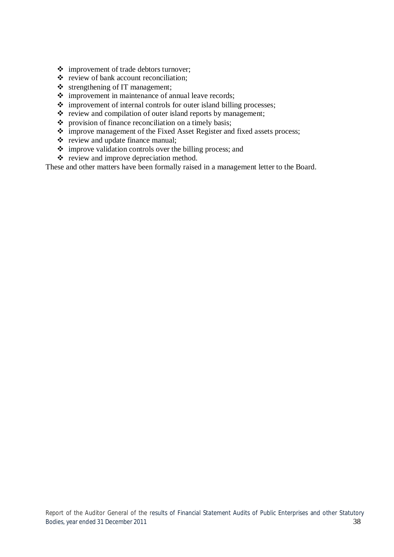- improvement of trade debtors turnover;
- review of bank account reconciliation;
- $\triangleleft$  strengthening of IT management;
- $\div$  improvement in maintenance of annual leave records;
- $\div$  improvement of internal controls for outer island billing processes;
- $\cdot \cdot$  review and compilation of outer island reports by management;
- $\bullet$  provision of finance reconciliation on a timely basis;
- improve management of the Fixed Asset Register and fixed assets process;
- review and update finance manual;
- $\cdot$  improve validation controls over the billing process; and
- review and improve depreciation method.

These and other matters have been formally raised in a management letter to the Board.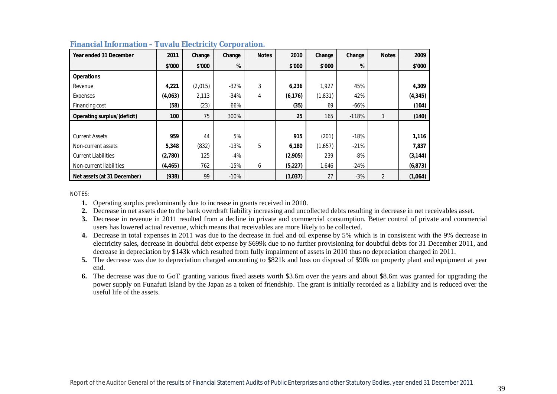| Year ended 31 December      | 2011     | Change  | Change | <b>Notes</b> | 2010     | Change  | Change  | <b>Notes</b>   | 2009     |
|-----------------------------|----------|---------|--------|--------------|----------|---------|---------|----------------|----------|
|                             | \$'000   | \$'000  | %      |              | \$'000   | \$'000  | %       |                | \$'000   |
| <b>Operations</b>           |          |         |        |              |          |         |         |                |          |
| Revenue                     | 4,221    | (2,015) | $-32%$ | 3            | 6,236    | 1,927   | 45%     |                | 4,309    |
| Expenses                    | (4,063)  | 2,113   | $-34%$ | 4            | (6, 176) | (1,831) | 42%     |                | (4, 345) |
| Financing cost              | (58)     | (23)    | 66%    |              | (35)     | 69      | $-66%$  |                | (104)    |
| Operating surplus/(deficit) | 100      | 75      | 300%   |              | 25       | 165     | $-118%$ |                | (140)    |
|                             |          |         |        |              |          |         |         |                |          |
| <b>Current Assets</b>       | 959      | 44      | 5%     |              | 915      | (201)   | $-18%$  |                | 1,116    |
| Non-current assets          | 5,348    | (832)   | $-13%$ | 5            | 6,180    | (1,657) | $-21%$  |                | 7,837    |
| <b>Current Liabilities</b>  | (2,780)  | 125     | -4%    |              | (2,905)  | 239     | -8%     |                | (3, 144) |
| Non-current liabilities     | (4, 465) | 762     | $-15%$ | 6            | (5,227)  | 1,646   | $-24%$  |                | (6, 873) |
| Net assets (at 31 December) | (938)    | 99      | $-10%$ |              | (1,037)  | 27      | $-3%$   | $\overline{2}$ | (1,064)  |

### **Financial Information – Tuvalu Electricity Corporation.**

NOTES:

- **1.** Operating surplus predominantly due to increase in grants received in 2010.
- **2.** Decrease in net assets due to the bank overdraft liability increasing and uncollected debts resulting in decrease in net receivables asset.
- **3.** Decrease in revenue in 2011 resulted from a decline in private and commercial consumption. Better control of private and commercial users has lowered actual revenue, which means that receivables are more likely to be collected.
- **4.** Decrease in total expenses in 2011 was due to the decrease in fuel and oil expense by 5% which is in consistent with the 9% decrease in electricity sales, decrease in doubtful debt expense by \$699k due to no further provisioning for doubtful debts for 31 December 2011, and decrease in depreciation by \$143k which resulted from fully impairment of assets in 2010 thus no depreciation charged in 2011.
- **5.** The decrease was due to depreciation charged amounting to \$821k and loss on disposal of \$90k on property plant and equipment at year end.
- **6.** The decrease was due to GoT granting various fixed assets worth \$3.6m over the years and about \$8.6m was granted for upgrading the power supply on Funafuti Island by the Japan as a token of friendship. The grant is initially recorded as a liability and is reduced over the useful life of the assets.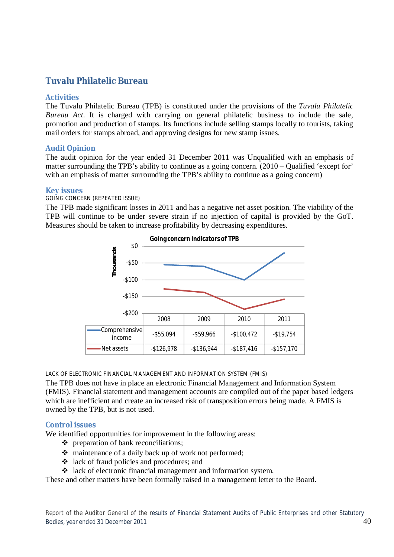# **Tuvalu Philatelic Bureau**

# **Activities**

The Tuvalu Philatelic Bureau (TPB) is constituted under the provisions of the *Tuvalu Philatelic Bureau Act*. It is charged with carrying on general philatelic business to include the sale, promotion and production of stamps. Its functions include selling stamps locally to tourists, taking mail orders for stamps abroad, and approving designs for new stamp issues.

# **Audit Opinion**

The audit opinion for the year ended 31 December 2011 was Unqualified with an emphasis of matter surrounding the TPB's ability to continue as a going concern. (2010 – Qualified 'except for' with an emphasis of matter surrounding the TPB's ability to continue as a going concern)

# **Key issues**

# GOING CONCERN (REPEATED ISSUE)

The TPB made significant losses in 2011 and has a negative net asset position. The viability of the TPB will continue to be under severe strain if no injection of capital is provided by the GoT. Measures should be taken to increase profitability by decreasing expenditures.



LACK OF ELECTRONIC FINANCIAL MANAGEMENT AND INFORMATION SYSTEM (FMIS)

The TPB does not have in place an electronic Financial Management and Information System (FMIS). Financial statement and management accounts are compiled out of the paper based ledgers which are inefficient and create an increased risk of transposition errors being made. A FMIS is owned by the TPB, but is not used.

# **Control issues**

We identified opportunities for improvement in the following areas:

- preparation of bank reconciliations;
- maintenance of a daily back up of work not performed;
- lack of fraud policies and procedures; and
- lack of electronic financial management and information system.

These and other matters have been formally raised in a management letter to the Board.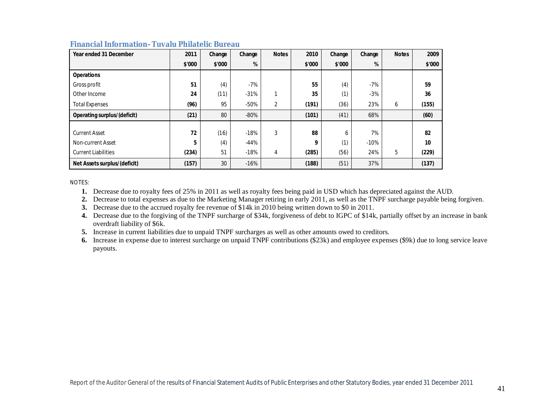| Year ended 31 December             | 2011   | Change | Change | <b>Notes</b> | 2010   | Change | Change | <b>Notes</b> | 2009   |
|------------------------------------|--------|--------|--------|--------------|--------|--------|--------|--------------|--------|
|                                    | \$'000 | \$'000 | %      |              | \$'000 | \$'000 | %      |              | \$'000 |
| <b>Operations</b>                  |        |        |        |              |        |        |        |              |        |
| Gross profit                       | 51     | (4)    | $-7%$  |              | 55     | (4)    | $-7%$  |              | 59     |
| Other Income                       | 24     | (11)   | $-31%$ |              | 35     | (1)    | $-3%$  |              | 36     |
| <b>Total Expenses</b>              | (96)   | 95     | $-50%$ | 2            | (191)  | (36)   | 23%    | 6            | (155)  |
| <b>Operating surplus/(deficit)</b> | (21)   | 80     | $-80%$ |              | (101)  | (41)   | 68%    |              | (60)   |
|                                    |        |        |        |              |        |        |        |              |        |
| <b>Current Asset</b>               | 72     | (16)   | $-18%$ | 3            | 88     | 6      | 7%     |              | 82     |
| Non-current Asset                  | 5      | (4)    | $-44%$ |              | 9      | (1)    | $-10%$ |              | 10     |
| <b>Current Liabilities</b>         | (234)  | 51     | $-18%$ | 4            | (285)  | (56)   | 24%    | 5            | (229)  |
| Net Assets surplus/(deficit)       | (157)  | 30     | $-16%$ |              | (188)  | (51)   | 37%    |              | (137)  |

# **Financial Information- Tuvalu Philatelic Bureau**

NOTES:

**1.** Decrease due to royalty fees of 25% in 2011 as well as royalty fees being paid in USD which has depreciated against the AUD.

**2.** Decrease to total expenses as due to the Marketing Manager retiring in early 2011, as well as the TNPF surcharge payable being forgiven.

**3.** Decrease due to the accrued royalty fee revenue of \$14k in 2010 being written down to \$0 in 2011.

**4.** Decrease due to the forgiving of the TNPF surcharge of \$34k, forgiveness of debt to IGPC of \$14k, partially offset by an increase in bank overdraft liability of \$6k.

**5.** Increase in current liabilities due to unpaid TNPF surcharges as well as other amounts owed to creditors.

**6.** Increase in expense due to interest surcharge on unpaid TNPF contributions (\$23k) and employee expenses (\$9k) due to long service leave payouts.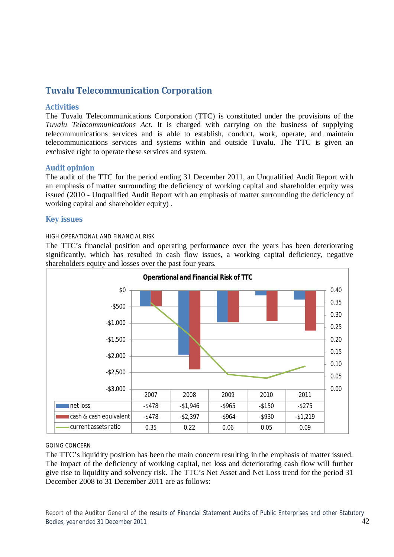# **Tuvalu Telecommunication Corporation**

# **Activities**

The Tuvalu Telecommunications Corporation (TTC) is constituted under the provisions of the *Tuvalu Telecommunications Act*. It is charged with carrying on the business of supplying telecommunications services and is able to establish, conduct, work, operate, and maintain telecommunications services and systems within and outside Tuvalu. The TTC is given an exclusive right to operate these services and system.

# **Audit opinion**

The audit of the TTC for the period ending 31 December 2011, an Unqualified Audit Report with an emphasis of matter surrounding the deficiency of working capital and shareholder equity was issued (2010 - Unqualified Audit Report with an emphasis of matter surrounding the deficiency of working capital and shareholder equity) .

# **Key issues**

# HIGH OPERATIONAL AND FINANCIAL RISK

The TTC's financial position and operating performance over the years has been deteriorating significantly, which has resulted in cash flow issues, a working capital deficiency, negative shareholders equity and losses over the past four years.



#### GOING CONCERN

The TTC's liquidity position has been the main concern resulting in the emphasis of matter issued. The impact of the deficiency of working capital, net loss and deteriorating cash flow will further give rise to liquidity and solvency risk. The TTC's Net Asset and Net Loss trend for the period 31 December 2008 to 31 December 2011 are as follows:

Report of the Auditor General of the results of Financial Statement Audits of Public Enterprises and other Statutory Bodies, year ended 31 December 2011 **42** Analysis of the state of the state of the state of the state of the state of the state of the state of the state of the state of the state of the state of the state of the state of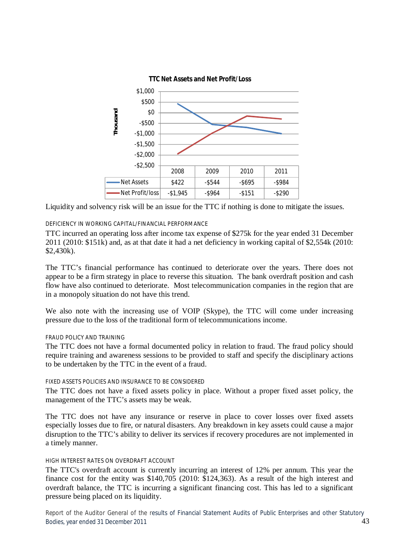

Liquidity and solvency risk will be an issue for the TTC if nothing is done to mitigate the issues.

# DEFICIENCY IN WORKING CAPITAL/FINANCIAL PERFORMANCE

TTC incurred an operating loss after income tax expense of \$275k for the year ended 31 December 2011 (2010: \$151k) and, as at that date it had a net deficiency in working capital of \$2,554k (2010: \$2,430k).

The TTC's financial performance has continued to deteriorate over the years. There does not appear to be a firm strategy in place to reverse this situation. The bank overdraft position and cash flow have also continued to deteriorate. Most telecommunication companies in the region that are in a monopoly situation do not have this trend.

We also note with the increasing use of VOIP (Skype), the TTC will come under increasing pressure due to the loss of the traditional form of telecommunications income.

### FRAUD POLICY AND TRAINING

The TTC does not have a formal documented policy in relation to fraud. The fraud policy should require training and awareness sessions to be provided to staff and specify the disciplinary actions to be undertaken by the TTC in the event of a fraud.

#### FIXED ASSETS POLICIES AND INSURANCE TO BE CONSIDERED

The TTC does not have a fixed assets policy in place. Without a proper fixed asset policy, the management of the TTC's assets may be weak.

The TTC does not have any insurance or reserve in place to cover losses over fixed assets especially losses due to fire, or natural disasters. Any breakdown in key assets could cause a major disruption to the TTC's ability to deliver its services if recovery procedures are not implemented in a timely manner.

#### HIGH INTEREST RATES ON OVERDRAFT ACCOUNT

The TTC's overdraft account is currently incurring an interest of 12% per annum. This year the finance cost for the entity was \$140,705 (2010: \$124,363). As a result of the high interest and overdraft balance, the TTC is incurring a significant financing cost. This has led to a significant pressure being placed on its liquidity.

Report of the Auditor General of the results of Financial Statement Audits of Public Enterprises and other Statutory Bodies, year ended 31 December 2011 **43** Analysis of the state of the state of the state of the state of the state of the state of the state of the state of the state of the state of the state of the state of the state of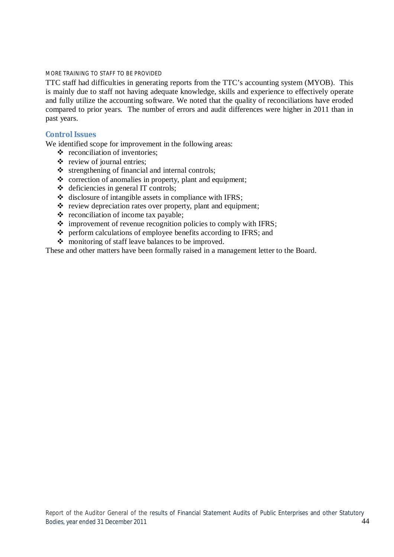#### MORE TRAINING TO STAFF TO BE PROVIDED

TTC staff had difficulties in generating reports from the TTC's accounting system (MYOB). This is mainly due to staff not having adequate knowledge, skills and experience to effectively operate and fully utilize the accounting software. We noted that the quality of reconciliations have eroded compared to prior years. The number of errors and audit differences were higher in 2011 than in past years.

# **Control Issues**

We identified scope for improvement in the following areas:

- $\triangleleft$  reconciliation of inventories;
- $\triangle$  review of journal entries;
- $\triangle$  strengthening of financial and internal controls;
- $\triangle$  correction of anomalies in property, plant and equipment;
- $\triangleleft$  deficiencies in general IT controls;
- $\triangleq$  disclosure of intangible assets in compliance with IFRS;
- $\cdot$  review depreciation rates over property, plant and equipment;
- $\triangleleft$  reconciliation of income tax payable:
- $\div$  improvement of revenue recognition policies to comply with IFRS;
- perform calculations of employee benefits according to IFRS; and
- monitoring of staff leave balances to be improved.

These and other matters have been formally raised in a management letter to the Board.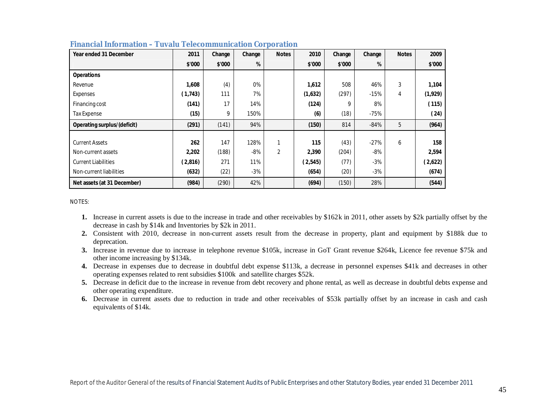| Year ended 31 December      | 2011     | Change | Change | <b>Notes</b>   | 2010    | Change | Change | <b>Notes</b> | 2009    |
|-----------------------------|----------|--------|--------|----------------|---------|--------|--------|--------------|---------|
|                             | \$'000   | \$'000 | %      |                | \$'000  | \$'000 | %      |              | \$'000  |
| <b>Operations</b>           |          |        |        |                |         |        |        |              |         |
| Revenue                     | 1,608    | (4)    | 0%     |                | 1,612   | 508    | 46%    | 3            | 1,104   |
| Expenses                    | (1, 743) | 111    | 7%     |                | (1,632) | (297)  | $-15%$ | 4            | (1,929) |
| Financing cost              | (141)    | 17     | 14%    |                | (124)   | 9      | 8%     |              | (115)   |
| Tax Expense                 | (15)     | 9      | 150%   |                | (6)     | (18)   | $-75%$ |              | (24)    |
| Operating surplus/(deficit) | (291)    | (141)  | 94%    |                | (150)   | 814    | $-84%$ | 5            | (964)   |
|                             |          |        |        |                |         |        |        |              |         |
| <b>Current Assets</b>       | 262      | 147    | 128%   | 1              | 115     | (43)   | $-27%$ | 6            | 158     |
| Non-current assets          | 2,202    | (188)  | $-8%$  | $\overline{2}$ | 2,390   | (204)  | -8%    |              | 2,594   |
| <b>Current Liabilities</b>  | (2,816)  | 271    | 11%    |                | (2,545) | (77)   | $-3%$  |              | (2,622) |
| Non-current liabilities     | (632)    | (22)   | $-3%$  |                | (654)   | (20)   | $-3%$  |              | (674)   |
| Net assets (at 31 December) | (984)    | (290)  | 42%    |                | (694)   | (150)  | 28%    |              | (544)   |

#### **Financial Information – Tuvalu Telecommunication Corporation**

NOTES:

- **1.** Increase in current assets is due to the increase in trade and other receivables by \$162k in 2011, other assets by \$2k partially offset by the decrease in cash by \$14k and Inventories by \$2k in 2011.
- **2.** Consistent with 2010, decrease in non-current assets result from the decrease in property, plant and equipment by \$188k due to deprecation.
- **3.** Increase in revenue due to increase in telephone revenue \$105k, increase in GoT Grant revenue \$264k, Licence fee revenue \$75k and other income increasing by \$134k.
- **4.** Decrease in expenses due to decrease in doubtful debt expense \$113k, a decrease in personnel expenses \$41k and decreases in other operating expenses related to rent subsidies \$100k and satellite charges \$52k.
- **5.** Decrease in deficit due to the increase in revenue from debt recovery and phone rental, as well as decrease in doubtful debts expense and other operating expenditure.
- **6.** Decrease in current assets due to reduction in trade and other receivables of \$53k partially offset by an increase in cash and cash equivalents of \$14k.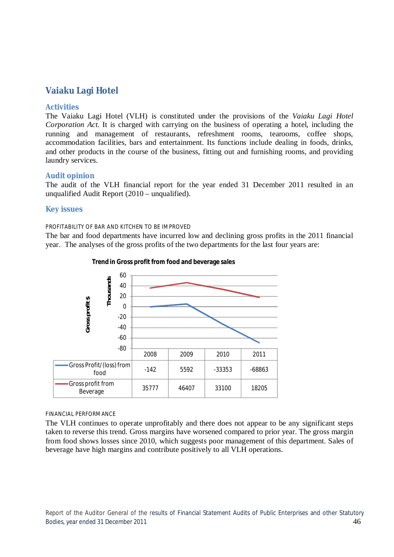# **Vaiaku Lagi Hotel**

# **Activities**

The Vaiaku Lagi Hotel (VLH) is constituted under the provisions of the *Vaiaku Lagi Hotel Corporation Act*. It is charged with carrying on the business of operating a hotel, including the running and management of restaurants, refreshment rooms, tearooms, coffee shops, accommodation facilities, bars and entertainment. Its functions include dealing in foods, drinks, and other products in the course of the business, fitting out and furnishing rooms, and providing laundry services.

# **Audit opinion**

The audit of the VLH financial report for the year ended 31 December 2011 resulted in an unqualified Audit Report (2010 – unqualified).

# **Key issues**

#### PROFITABILITY OF BAR AND KITCHEN TO BE IMPROVED

The bar and food departments have incurred low and declining gross profits in the 2011 financial year. The analyses of the gross profits of the two departments for the last four years are:



#### **Trend in Gross profit from food and beverage sales**

#### FINANCIAL PERFORMANCE

The VLH continues to operate unprofitably and there does not appear to be any significant steps taken to reverse this trend. Gross margins have worsened compared to prior year. The gross margin from food shows losses since 2010, which suggests poor management of this department. Sales of beverage have high margins and contribute positively to all VLH operations.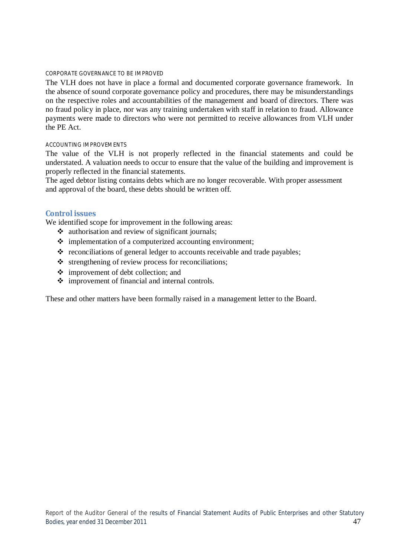#### CORPORATE GOVERNANCE TO BE IMPROVED

The VLH does not have in place a formal and documented corporate governance framework. In the absence of sound corporate governance policy and procedures, there may be misunderstandings on the respective roles and accountabilities of the management and board of directors. There was no fraud policy in place, nor was any training undertaken with staff in relation to fraud. Allowance payments were made to directors who were not permitted to receive allowances from VLH under the PE Act.

#### ACCOUNTING IMPROVEMENTS

The value of the VLH is not properly reflected in the financial statements and could be understated. A valuation needs to occur to ensure that the value of the building and improvement is properly reflected in the financial statements.

The aged debtor listing contains debts which are no longer recoverable. With proper assessment and approval of the board, these debts should be written off.

#### **Control issues**

We identified scope for improvement in the following areas:

- $\triangleleft$  authorisation and review of significant journals;
- $\div$  implementation of a computerized accounting environment;
- $\triangle$  reconciliations of general ledger to accounts receivable and trade payables;
- $\triangle$  strengthening of review process for reconciliations;
- $\div$  improvement of debt collection; and
- improvement of financial and internal controls.

These and other matters have been formally raised in a management letter to the Board.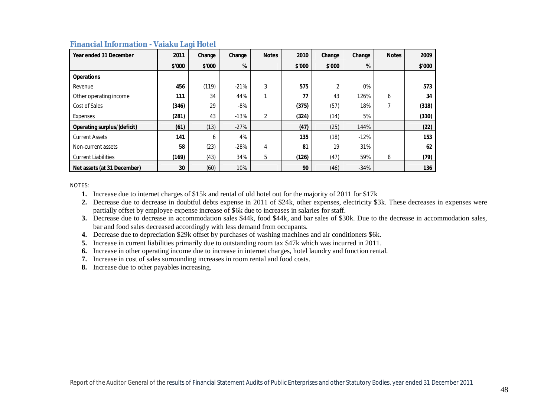| Year ended 31 December      | 2011   | Change | Change | <b>Notes</b> | 2010   | Change | Change | <b>Notes</b> | 2009   |
|-----------------------------|--------|--------|--------|--------------|--------|--------|--------|--------------|--------|
|                             | \$'000 | \$'000 | %      |              | \$'000 | \$'000 | %      |              | \$'000 |
| <b>Operations</b>           |        |        |        |              |        |        |        |              |        |
| Revenue                     | 456    | (119)  | $-21%$ | 3            | 575    | 2      | 0%     |              | 573    |
| Other operating income      | 111    | 34     | 44%    | 1            | 77     | 43     | 126%   | 6            | 34     |
| Cost of Sales               | (346)  | 29     | $-8%$  |              | (375)  | (57)   | 18%    |              | (318)  |
| Expenses                    | (281)  | 43     | $-13%$ | 2            | (324)  | (14)   | 5%     |              | (310)  |
| Operating surplus/(deficit) | (61)   | (13)   | $-27%$ |              | (47)   | (25)   | 144%   |              | (22)   |
| <b>Current Assets</b>       | 141    | 6      | 4%     |              | 135    | (18)   | $-12%$ |              | 153    |
| Non-current assets          | 58     | (23)   | $-28%$ | 4            | 81     | 19     | 31%    |              | 62     |
| <b>Current Liabilities</b>  | (169)  | (43)   | 34%    | 5            | (126)  | (47)   | 59%    | 8            | (79)   |
| Net assets (at 31 December) | 30     | (60)   | 10%    |              | 90     | (46)   | $-34%$ |              | 136    |

### **Financial Information - Vaiaku Lagi Hotel**

NOTES:

**1.** Increase due to internet charges of \$15k and rental of old hotel out for the majority of 2011 for \$17k

**2.** Decrease due to decrease in doubtful debts expense in 2011 of \$24k, other expenses, electricity \$3k. These decreases in expenses were partially offset by employee expense increase of \$6k due to increases in salaries for staff.

**3.** Decrease due to decrease in accommodation sales \$44k, food \$44k, and bar sales of \$30k. Due to the decrease in accommodation sales, bar and food sales decreased accordingly with less demand from occupants.

**4.** Decrease due to depreciation \$29k offset by purchases of washing machines and air conditioners \$6k.

**5.** Increase in current liabilities primarily due to outstanding room tax \$47k which was incurred in 2011.

**6.** Increase in other operating income due to increase in internet charges, hotel laundry and function rental.

**7.** Increase in cost of sales surrounding increases in room rental and food costs.

**8.** Increase due to other payables increasing.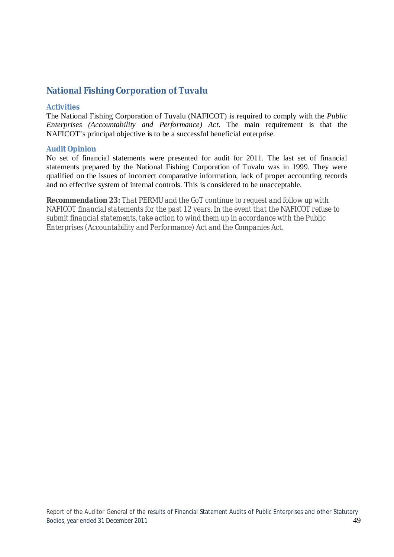# **National Fishing Corporation of Tuvalu**

# **Activities**

The National Fishing Corporation of Tuvalu (NAFICOT) is required to comply with the *Public Enterprises (Accountability and Performance) Act*. The main requirement is that the NAFICOT's principal objective is to be a successful beneficial enterprise.

# **Audit Opinion**

No set of financial statements were presented for audit for 2011. The last set of financial statements prepared by the National Fishing Corporation of Tuvalu was in 1999. They were qualified on the issues of incorrect comparative information, lack of proper accounting records and no effective system of internal controls. This is considered to be unacceptable.

*Recommendation 23: That PERMU and the GoT continue to request and follow up with NAFICOT financial statements for the past 12 years. In the event that the NAFICOT refuse to submit financial statements, take action to wind them up in accordance with the Public Enterprises (Accountability and Performance) Act and the Companies Act.*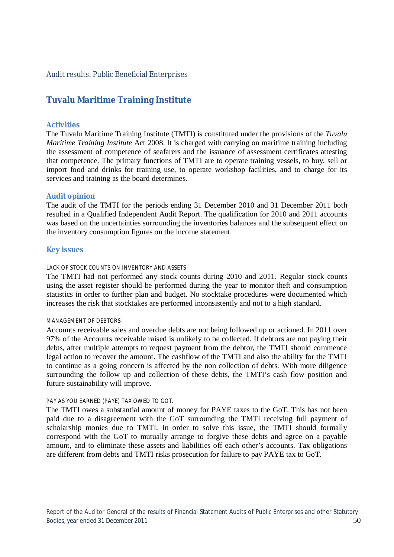# Audit results: Public Beneficial Enterprises

# **Tuvalu Maritime Training Institute**

# **Activities**

The Tuvalu Maritime Training Institute (TMTI) is constituted under the provisions of the *Tuvalu Maritime Training Institute* Act 2008. It is charged with carrying on maritime training including the assessment of competence of seafarers and the issuance of assessment certificates attesting that competence. The primary functions of TMTI are to operate training vessels, to buy, sell or import food and drinks for training use, to operate workshop facilities, and to charge for its services and training as the board determines.

# **Audit opinion**

The audit of the TMTI for the periods ending 31 December 2010 and 31 December 2011 both resulted in a Qualified Independent Audit Report. The qualification for 2010 and 2011 accounts was based on the uncertainties surrounding the inventories balances and the subsequent effect on the inventory consumption figures on the income statement.

# **Key issues**

# LACK OF STOCK COUNTS ON INVENTORY AND ASSETS

The TMTI had not performed any stock counts during 2010 and 2011. Regular stock counts using the asset register should be performed during the year to monitor theft and consumption statistics in order to further plan and budget. No stocktake procedures were documented which increases the risk that stocktakes are performed inconsistently and not to a high standard.

#### MANAGEMENT OF DEBTORS

Accounts receivable sales and overdue debts are not being followed up or actioned. In 2011 over 97% of the Accounts receivable raised is unlikely to be collected. If debtors are not paying their debts, after multiple attempts to request payment from the debtor, the TMTI should commence legal action to recover the amount. The cashflow of the TMTI and also the ability for the TMTI to continue as a going concern is affected by the non collection of debts. With more diligence surrounding the follow up and collection of these debts, the TMTI's cash flow position and future sustainability will improve.

#### PAY AS YOU EARNED (PAYE) TAX OWED TO GOT.

The TMTI owes a substantial amount of money for PAYE taxes to the GoT. This has not been paid due to a disagreement with the GoT surrounding the TMTI receiving full payment of scholarship monies due to TMTI. In order to solve this issue, the TMTI should formally correspond with the GoT to mutually arrange to forgive these debts and agree on a payable amount, and to eliminate these assets and liabilities off each other's accounts. Tax obligations are different from debts and TMTI risks prosecution for failure to pay PAYE tax to GoT.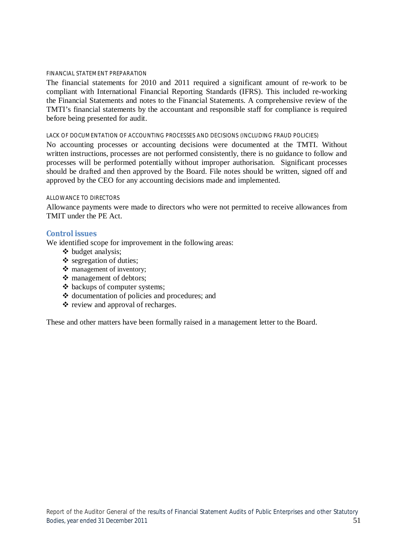#### FINANCIAL STATEMENT PREPARATION

The financial statements for 2010 and 2011 required a significant amount of re-work to be compliant with International Financial Reporting Standards (IFRS). This included re-working the Financial Statements and notes to the Financial Statements. A comprehensive review of the TMTI's financial statements by the accountant and responsible staff for compliance is required before being presented for audit.

#### LACK OF DOCUMENTATION OF ACCOUNTING PROCESSES AND DECISIONS (INCLUDING FRAUD POLICIES)

No accounting processes or accounting decisions were documented at the TMTI. Without written instructions, processes are not performed consistently, there is no guidance to follow and processes will be performed potentially without improper authorisation. Significant processes should be drafted and then approved by the Board. File notes should be written, signed off and approved by the CEO for any accounting decisions made and implemented.

#### ALLOWANCE TO DIRECTORS

Allowance payments were made to directors who were not permitted to receive allowances from TMIT under the PE Act.

# **Control issues**

We identified scope for improvement in the following areas:

- ❖ budget analysis:
- $\triangleleft$  segregation of duties;
- \* management of inventory:
- management of debtors;
- backups of computer systems;
- ❖ documentation of policies and procedures; and
- $\div$  review and approval of recharges.

These and other matters have been formally raised in a management letter to the Board.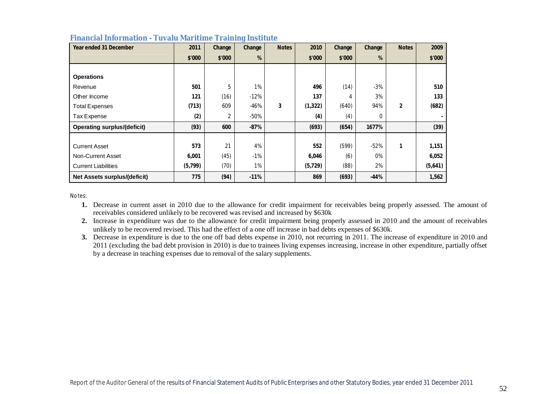| Year ended 31 December              | 2011    | Change | Change | <b>Notes</b> | 2010     | Change | Change | <b>Notes</b>   | 2009    |
|-------------------------------------|---------|--------|--------|--------------|----------|--------|--------|----------------|---------|
|                                     | \$'000  | \$'000 | %      |              | \$'000   | \$'000 | %      |                | \$'000  |
|                                     |         |        |        |              |          |        |        |                |         |
| <b>Operations</b>                   |         |        |        |              |          |        |        |                |         |
| Revenue                             | 501     | 5      | 1%     |              | 496      | (14)   | $-3%$  |                | 510     |
| Other Income                        | 121     | (16)   | $-12%$ |              | 137      | 4      | 3%     |                | 133     |
| <b>Total Expenses</b>               | (713)   | 609    | $-46%$ | 3            | (1, 322) | (640)  | 94%    | $\overline{2}$ | (682)   |
| Tax Expense                         | (2)     | 2      | -50%   |              | (4)      | (4)    | 0      |                |         |
| <b>Operating surplus/(deficit)</b>  | (93)    | 600    | $-87%$ |              | (693)    | (654)  | 1677%  |                | (39)    |
|                                     |         |        |        |              |          |        |        |                |         |
| <b>Current Asset</b>                | 573     | 21     | 4%     |              | 552      | (599)  | $-52%$ | 1              | 1,151   |
| Non-Current Asset                   | 6,001   | (45)   | $-1\%$ |              | 6,046    | (6)    | 0%     |                | 6,052   |
| <b>Current Liabilities</b>          | (5,799) | (70)   | 1%     |              | (5, 729) | (88)   | 2%     |                | (5,641) |
| <b>Net Assets surplus/(deficit)</b> | 775     | (94)   | $-11%$ |              | 869      | (693)  | $-44%$ |                | 1,562   |

#### **Financial Information - Tuvalu Maritime Training Institute**

Notes:

**1.** Decrease in current asset in 2010 due to the allowance for credit impairment for receivables being properly assessed. The amount of receivables considered unlikely to be recovered was revised and increased by \$630k

**2.** Increase in expenditure was due to the allowance for credit impairment being properly assessed in 2010 and the amount of receivables unlikely to be recovered revised. This had the effect of a one off increase in bad debts expenses of \$630k.

**3.** Decrease in expenditure is due to the one off bad debts expense in 2010, not recurring in 2011. The increase of expenditure in 2010 and 2011 (excluding the bad debt provision in 2010) is due to trainees living expenses increasing, increase in other expenditure, partially offset by a decrease in teaching expenses due to removal of the salary supplements.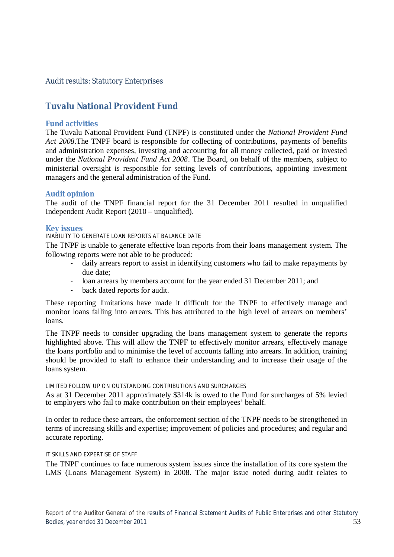# Audit results: Statutory Enterprises

# **Tuvalu National Provident Fund**

# **Fund activities**

The Tuvalu National Provident Fund (TNPF) is constituted under the *National Provident Fund Act 2008*.The TNPF board is responsible for collecting of contributions, payments of benefits and administration expenses, investing and accounting for all money collected, paid or invested under the *National Provident Fund Act 2008*. The Board, on behalf of the members, subject to ministerial oversight is responsible for setting levels of contributions, appointing investment managers and the general administration of the Fund.

# **Audit opinion**

The audit of the TNPF financial report for the 31 December 2011 resulted in unqualified Independent Audit Report (2010 – unqualified).

#### **Key issues**

#### INABILITY TO GENERATE LOAN REPORTS AT BALANCE DATE

The TNPF is unable to generate effective loan reports from their loans management system. The following reports were not able to be produced:

- daily arrears report to assist in identifying customers who fail to make repayments by due date;
- loan arrears by members account for the year ended 31 December 2011; and
- back dated reports for audit.

These reporting limitations have made it difficult for the TNPF to effectively manage and monitor loans falling into arrears. This has attributed to the high level of arrears on members' loans.

The TNPF needs to consider upgrading the loans management system to generate the reports highlighted above. This will allow the TNPF to effectively monitor arrears, effectively manage the loans portfolio and to minimise the level of accounts falling into arrears. In addition, training should be provided to staff to enhance their understanding and to increase their usage of the loans system.

#### LIMITED FOLLOW UP ON OUTSTANDING CONTRIBUTIONS AND SURCHARGES

As at 31 December 2011 approximately \$314k is owed to the Fund for surcharges of 5% levied to employers who fail to make contribution on their employees' behalf.

In order to reduce these arrears, the enforcement section of the TNPF needs to be strengthened in terms of increasing skills and expertise; improvement of policies and procedures; and regular and accurate reporting.

#### IT SKILLS AND EXPERTISE OF STAFF

The TNPF continues to face numerous system issues since the installation of its core system the LMS (Loans Management System) in 2008. The major issue noted during audit relates to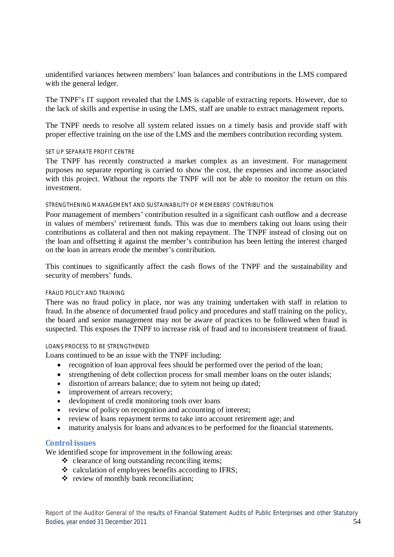unidentified variances between members' loan balances and contributions in the LMS compared with the general ledger.

The TNPF's IT support revealed that the LMS is capable of extracting reports. However, due to the lack of skills and expertise in using the LMS, staff are unable to extract management reports.

The TNPF needs to resolve all system related issues on a timely basis and provide staff with proper effective training on the use of the LMS and the members contribution recording system.

#### SET UP SEPARATE PROFIT CENTRE

The TNPF has recently constructed a market complex as an investment. For management purposes no separate reporting is carried to show the cost, the expenses and income associated with this project. Without the reports the TNPF will not be able to monitor the return on this investment.

#### STRENGTHENING MANAGEMENT AND SUSTAINABILITY OF MEMEBERS' CONTRIBUTION

Poor management of members' contribution resulted in a significant cash outflow and a decrease in values of members' retirement funds. This was due to members taking out loans using their contributions as collateral and then not making repayment. The TNPF instead of closing out on the loan and offsetting it against the member's contribution has been letting the interest charged on the loan in arrears erode the member's contribution.

This continues to significantly affect the cash flows of the TNPF and the sustainability and security of members' funds.

#### FRAUD POLICY AND TRAINING

There was no fraud policy in place, nor was any training undertaken with staff in relation to fraud. In the absence of documented fraud policy and procedures and staff training on the policy, the board and senior management may not be aware of practices to be followed when fraud is suspected. This exposes the TNPF to increase risk of fraud and to inconsistent treatment of fraud.

#### LOANS PROCESS TO BE STRENGTHENED

Loans continued to be an issue with the TNPF including:

- recognition of loan approval fees should be performed over the period of the loan;
- strengthening of debt collection process for small member loans on the outer islands;
- distortion of arrears balance; due to sytem not being up dated;
- improvement of arrears recovery;
- devlopment of credit monitoring tools over loans
- review of policy on recognition and accounting of interest;
- review of loans repayment terms to take into account retirement age; and
- maturity analysis for loans and advances to be performed for the financial statements.

#### **Control issues**

We identified scope for improvement in the following areas:

- $\triangle$  clearance of long outstanding reconciling items;
- calculation of employees benefits according to IFRS:
- review of monthly bank reconciliation;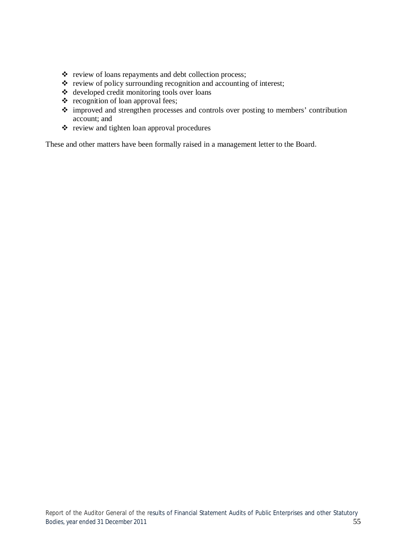- \* review of loans repayments and debt collection process;
- $\cdot \cdot$  review of policy surrounding recognition and accounting of interest;
- developed credit monitoring tools over loans
- $\triangleleft$  recognition of loan approval fees;
- improved and strengthen processes and controls over posting to members' contribution account; and
- review and tighten loan approval procedures

These and other matters have been formally raised in a management letter to the Board.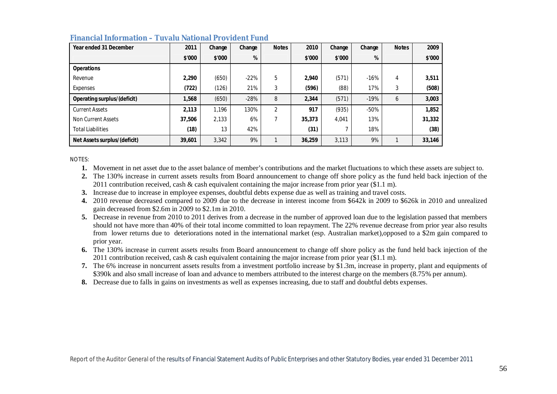| Year ended 31 December       | 2011   | Change | Change | <b>Notes</b>   | 2010   | Change | Change | <b>Notes</b> | 2009   |
|------------------------------|--------|--------|--------|----------------|--------|--------|--------|--------------|--------|
|                              | \$'000 | \$'000 | %      |                | \$'000 | \$'000 | %      |              | \$'000 |
| <b>Operations</b>            |        |        |        |                |        |        |        |              |        |
| Revenue                      | 2,290  | (650)  | $-22%$ | 5              | 2,940  | (571)  | $-16%$ | 4            | 3,511  |
| Expenses                     | (722)  | (126)  | 21%    | 3              | (596)  | (88)   | 17%    | 3            | (508)  |
| Operating surplus/(deficit)  | 1,568  | (650)  | $-28%$ | 8              | 2,344  | (571)  | $-19%$ | 6            | 3,003  |
| <b>Current Assets</b>        | 2,113  | 1,196  | 130%   | $\overline{2}$ | 917    | (935)  | $-50%$ |              | 1,852  |
| Non Current Assets           | 37,506 | 2,133  | 6%     |                | 35,373 | 4,041  | 13%    |              | 31,332 |
| <b>Total Liabilities</b>     | (18)   | 13     | 42%    |                | (31)   |        | 18%    |              | (38)   |
| Net Assets surplus/(deficit) | 39,601 | 3,342  | 9%     |                | 36,259 | 3.113  | 9%     |              | 33,146 |

# **Financial Information – Tuvalu National Provident Fund**

NOTES:

**1.** Movement in net asset due to the asset balance of member's contributions and the market fluctuations to which these assets are subject to.

**2.** The 130% increase in current assets results from Board announcement to change off shore policy as the fund held back injection of the 2011 contribution received, cash & cash equivalent containing the major increase from prior year (\$1.1 m).

**3.** Increase due to increase in employee expenses, doubtful debts expense due as well as training and travel costs.

**4.** 2010 revenue decreased compared to 2009 due to the decrease in interest income from \$642k in 2009 to \$626k in 2010 and unrealized gain decreased from \$2.6m in 2009 to \$2.1m in 2010.

**5.** Decrease in revenue from 2010 to 2011 derives from a decrease in the number of approved loan due to the legislation passed that members should not have more than 40% of their total income committed to loan repayment. The 22% revenue decrease from prior year also results from lower returns due to deteriorations noted in the international market (esp. Australian market),opposed to a \$2m gain compared to prior year.

**6.** The 130% increase in current assets results from Board announcement to change off shore policy as the fund held back injection of the 2011 contribution received, cash & cash equivalent containing the major increase from prior year (\$1.1 m).

**7.** The 6% increase in noncurrent assets results from a investment portfolio increase by \$1.3m, increase in property, plant and equipments of \$390k and also small increase of loan and advance to members attributed to the interest charge on the members (8.75% per annum).

**8.** Decrease due to falls in gains on investments as well as expenses increasing, due to staff and doubtful debts expenses.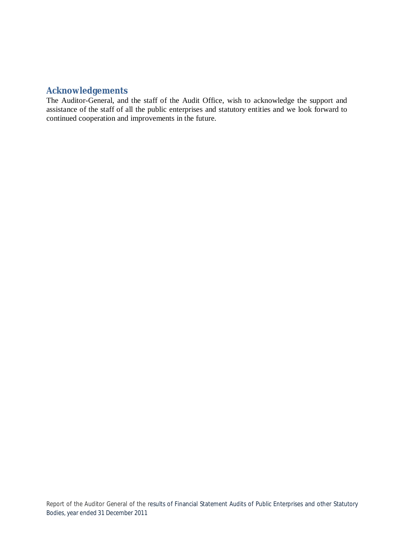# **Acknowledgements**

The Auditor-General, and the staff of the Audit Office, wish to acknowledge the support and assistance of the staff of all the public enterprises and statutory entities and we look forward to continued cooperation and improvements in the future.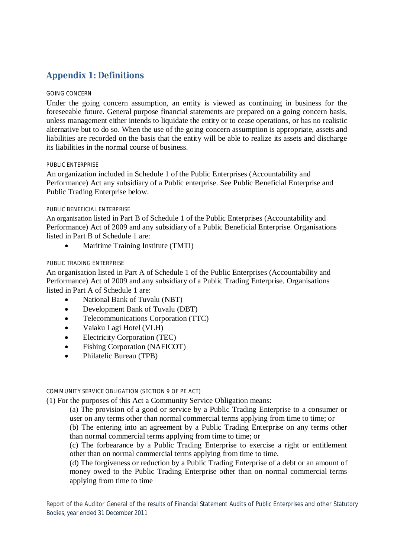# **Appendix 1: Definitions**

## GOING CONCERN

Under the going concern assumption, an entity is viewed as continuing in business for the foreseeable future. General purpose financial statements are prepared on a going concern basis, unless management either intends to liquidate the entity or to cease operations, or has no realistic alternative but to do so. When the use of the going concern assumption is appropriate, assets and liabilities are recorded on the basis that the entity will be able to realize its assets and discharge its liabilities in the normal course of business.

#### PUBLIC ENTERPRISE

An organization included in Schedule 1 of the Public Enterprises (Accountability and Performance) Act any subsidiary of a Public enterprise. See Public Beneficial Enterprise and Public Trading Enterprise below.

#### PUBLIC BENEFICIAL ENTERPRISE

An organisation listed in Part B of Schedule 1 of the Public Enterprises (Accountability and Performance) Act of 2009 and any subsidiary of a Public Beneficial Enterprise. Organisations listed in Part B of Schedule 1 are:

Maritime Training Institute (TMTI)

#### PUBLIC TRADING ENTERPRISE

An organisation listed in Part A of Schedule 1 of the Public Enterprises (Accountability and Performance) Act of 2009 and any subsidiary of a Public Trading Enterprise. Organisations listed in Part A of Schedule 1 are:

- National Bank of Tuvalu (NBT)
- Development Bank of Tuvalu (DBT)
- Telecommunications Corporation (TTC)
- Vaiaku Lagi Hotel (VLH)
- Electricity Corporation (TEC)
- Fishing Corporation (NAFICOT)
- Philatelic Bureau (TPB)

#### COMMUNITY SERVICE OBLIGATION (SECTION 9 OF PE ACT)

(1) For the purposes of this Act a Community Service Obligation means:

(a) The provision of a good or service by a Public Trading Enterprise to a consumer or user on any terms other than normal commercial terms applying from time to time; or

(b) The entering into an agreement by a Public Trading Enterprise on any terms other than normal commercial terms applying from time to time; or

(c) The forbearance by a Public Trading Enterprise to exercise a right or entitlement other than on normal commercial terms applying from time to time.

(d) The forgiveness or reduction by a Public Trading Enterprise of a debt or an amount of money owed to the Public Trading Enterprise other than on normal commercial terms applying from time to time